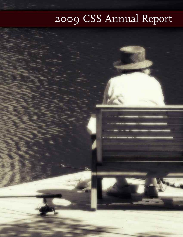# 2009 CSS Annual Report

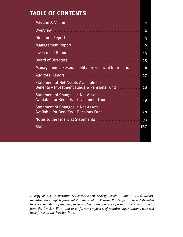# **TABLE OF CONTENTS**

| Mission & Vision <b>Mission Mission Mission</b> & Vision                                                                                                                                                                             | $\overline{\mathbf{1}}$ |
|--------------------------------------------------------------------------------------------------------------------------------------------------------------------------------------------------------------------------------------|-------------------------|
| <u>Overview The Community of the Community of The Community of The Community of The Community of The Community of The Community of The Community of The Community of The Community of The Community of The Community of The Comm</u> | $\overline{2}$          |
| Directors' Report <b>Constitution</b> and Constitution Constitution of the Constitution of the Constitution of the Co                                                                                                                | 4                       |
| Management Report Management Report of the Community of the Community of the Community of the Community of the                                                                                                                       | 10                      |
| Investment Report (Electronic Communication of the Investment Property Communication of the Investment Property                                                                                                                      | 14                      |
| Board of Directors <b>Container and Container and Container and Container</b>                                                                                                                                                        | 25                      |
| Management's Responsibility for Financial Information                                                                                                                                                                                | 26                      |
| Auditors' Report Australian Communications and Auditors' Report                                                                                                                                                                      | 27                      |
| <b>Statement of Net Assets Available for</b><br>Benefits - Investment Funds & Pensions Fund [100011111111111111111111111111111111                                                                                                    | 28                      |
| <b>Statement of Changes in Net Assets</b><br>Available for Benefits - Investment Funds                                                                                                                                               | 29                      |
| <b>Statement of Changes in Net Assets</b><br>Available for Benefits - Pensions Fund                                                                                                                                                  | 30                      |
|                                                                                                                                                                                                                                      | 3 <sup>1</sup>          |
| Staff                                                                                                                                                                                                                                | <b>IBC</b>              |
|                                                                                                                                                                                                                                      |                         |

*A copy of the Co-operative Superannuation Society Pension Plan's Annual Report, including the complete financial statements of the Pension Plan's operations is distributed to every contributing member, to each retiree who is receiving a monthly income directly from the Pension Plan, and to all former employees of member organizations who still have funds in the Pension Plan.*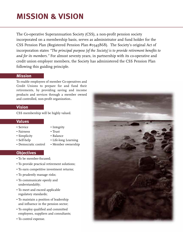# **MISSION & VISION**

The Co-operative Superannuation Society (CSS), a non-profit pension society incorporated on a membership basis, serves as administrator and fund holder for the CSS Pension Plan (Registered Pension Plan #0345868). The Society's original Act of incorporation states *"The principal purpose [of the Society] is to provide retirement benefits to and for its members."* For almost seventy years, in partnership with its co-operative and credit union employer members, the Society has administered the CSS Pension Plan following this guiding principle.

### **Mission**

To enable employees of member Co-operatives and Credit Unions to prepare for and fund their retirements, by providing saving and income products and services through a member owned and controlled, non-profit organization..

# **Vision**

CSS membership will be highly valued.

# **Values**

- Service Integrity
- Fairness Trust
- Simplicity Balance
- 
- Democratic control Member ownership
- 
- 
- 
- Self-help Life-long Learning
	-

# **Objectives**

- To be member-focused;
- To provide practical retirement solutions;
- To earn competitive investment returns;
- To prudently manage risks;
- To communicate openly and understandably;
- To meet and exceed applicable regulatory standards;
- To maintain a position of leadership and influence in the pension sector;
- To employ qualified and committed employees, suppliers and consultants;
- To control expense.

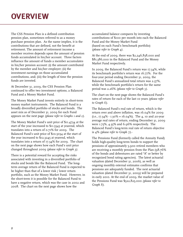# **OVERVIEW**

The CSS Pension Plan is a defined contribution pension plan, sometimes referred to as a money purchase pension plan. As the name implies, it is the contributions that are defined, not the benefit at retirement. The amount of retirement income a member receives depends upon the amount of pension funds accumulated in his/her account. Three factors influence the amount of funds a member accumulates in his/her pension account: (i) the amount contributed by the member and his/her employer; (ii) the investment earnings on those accumulated contributions, and; (iii) the length of time the pension funds are invested.

At December 31, 2009, the CSS Pension Plan continued to offer two investment options, a Balanced Fund and a Money Market Fund.

The Money Market Fund invests entirely in short-term money market instruments. The Balanced Fund is a broadly diversified portfolio of stocks and bonds. The asset mix as of December 31, 2009 for each Fund appears on the next page *(please refer to Graphs 1 and 2)*.

The Money Market Fund's unit price of \$11.4734 at the start of the year increased to \$11.5545 at yearend, which translates into a return of 0.71% for 2009. The Balanced Fund's unit price of \$10.5034 at the start of the year increased to \$12.3245 at yearend, which translates into a return of 17.34% for 2009. The chart on the next page shows how each Fund's unit price changed throughout 2009 *(please refer to Graph 3)*.

There is a potential reward for accepting the risks associated with investing in a diversified portfolio of stocks and bonds like the Balanced Fund. The longterm average return of the Balanced Fund is expected to be higher than that of a lower risk / lower return portfolio, such as the Money Market Fund. However, in the short-term it is possible for the Balanced Fund to have a negative return, which was the case in 2002 and 2008. The chart on the next page shows how the

accumulated balance compares by investing contributions of \$100 per month into each the Balanced Fund and the Money Market Fund (based on each Fund's benchmark portfolio) *(please refer to Graph 4)*.

At the end of 2009, there was \$2,246,838,000 and \$81,386,000 in the Balanced Fund and the Money Market Fund respectively.

In 2009, the Balanced Fund's return was 17.34%, while its benchmark portfolio's return was 16.77%. For the four-year period ending December 31, 2009, the Balanced Fund's annualized total return was 2.37%, while the benchmark portfolio's return for the same period was 2.26% *(please refer to Graph 5)*.

The chart on the next page shows the Balanced Fund's rates of return for each of the last 10 years *(please refer to Graph 6)*.

The Balanced Fund's real rate of return, which is the return over and above inflation, was 16.04% for 2009  $(i.e., 17.34\% - 1.30\% = 16.04\%).$  The 4, 10 and 20-year average real rates of return, ending December 31, 2009 were 1.75%, 4.35% and 6.96% respectively. The Balanced Fund's long-term real rate of return objective is 4% *(please refer to Graph 7)*.-

The Pensions Fund (formerly called the Annuity Fund) holds high-quality long-term bonds to support the pensions of approximately 5,900 retired members who are receiving a monthly pension from the Plan (98.76% of the bonds and debentures are rated "A" or better by recognized bond rating agencies). The latest actuarial valuation (dated December 31, 2006), as well as ongoing monthly external estimates confirms that pensions are adequately funded. The next actuarial valuation (dated December 31, 2009) will be prepared in early 2010. At the end of 2009, the market value of the Pensions Fund was \$522,825,000 *(please refer to Graph 8)*.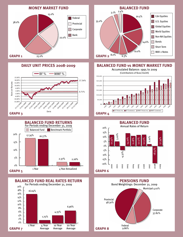

# **DAILY UNIT PRICES 2008-2009**





**BALANCED FUND REAL RATES RETURN**





### **BALANCED FUND vs MONEY MARKET FUND**





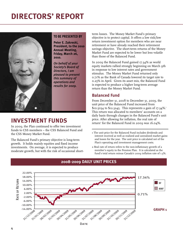# **DIRECTORS' REPORT**



### **TO BE PRESENTED BY**

**Peter E. Zakreski, President, to the 2010 Annual Meeting, Friday, March 26, 2010.**

*On behalf of your Society's Board of Directors, I am pleased to present this summary of operations and results for 2009.*

# **INVESTMENT FUNDS**

In 2009, the Plan continued to offer two investment funds to CSS members – the CSS Balanced Fund and the CSS Money Market Fund.

The Balanced Fund's primary objective is long-term growth. It holds mainly equities and fixed income investments. On average, it is expected to produce moderate growth, but with the risk of occasional shortterm losses. The Money Market Fund's primary objective is to protect capital. It offers a low risk/low return investment option for members who are near retirement or have already reached their retirement savings objective. The short-term returns of the Money Market Fund are expected to be lower but less volatile than those of the Balanced Fund.

In 2009 the Balanced Fund gained 17.34% as world equity markets rallied strongly beginning on March 9th in response to low interest rates and government stimulus. The Money Market Fund returned only 0.71% as the Bank of Canada lowered its target rate to 0.25% in April. Given its asset mix, the Balanced Fund is expected to produce a higher long-term average return than the Money Market Fund.

# **Balanced Fund**

From December 31, 2008 to December 31, 2009, the unit price of the Balanced Fund increased from  $$10.5034$  to  $$12.3245$ . This represents a gain of 17.34%.<sup>1</sup> This return was allocated to members' accounts on a daily basis through changes in the Balanced Fund's unit price. After allowing for inflation, the real rate of return<sup>2</sup> for the Balanced Fund in 2009 was 16.04%.

- 1 The unit price for the Balanced Fund includes dividends and interest received as well as realized and unrealized market gains and losses for the year. The unit price is calculated net of the Plan's operating and investment management costs.
- 2 Real rate of return refers to the non-inflationary growth of a member's equity in the Pension Plan. It is calculated as the fund's total return minus Canada's 2009 inflation rate of 1.3%.



# **2008-2009 DAILY UNIT PRICES**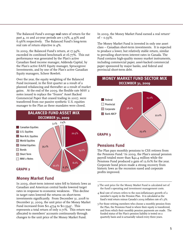The Balanced Fund's average **real** rates of return for the past 4, 10 and 20-year periods are 1.75%, 4.35% and 6.96% respectively. The Balanced Fund's long-term real rate of return objective is 4%.

In 2009, the Balanced Fund's return, at 17.34%, exceeded its combined benchmark at 16.77%. This out performance was generated by the Plan's active Canadian fixed income manager, Addenda Capital, by the Plan's active EAFE Equity manager, Sprucegrove Investments, and by one of the Plan's active Canadian Equity managers, Scheer Rowlett.

Over the year, the equity weighting of the Balanced Fund increased, in the first quarter as a result of a planned rebalancing and thereafter as a result of market gains. At the end of the 2009, the flexible rate MAV 2 notes issued to replace the "frozen" Asset Backed Commercial Paper that ceased trading in 2007, were transferred from our passive synthetic U.S. equities manager to the Plan as these mandates were closed.



## **Money Market Fund**

In 2009, short-term interest rates fell to historic lows as Canadian and American central banks lowered target rates in response to economic weakness. This decline in target rates lowered the returns on short-term investments significantly. From December 31, 2008 to December 31, 2009, the unit price of the Money Market Fund increased from  $$11.4734$  to  $$11.5545$ . This represents a total return of only 0.71%. This return was allocated to members' accounts continuously through changes to the unit price of the Money Market Fund.

In 2009, the Money Market Fund earned a real return<sup>4</sup>  $of - 0.59\%$ .

The Money Market Fund is invested in only one asset class – Canadian short-term investments. It is expected to produce a lower, but relatively stable return, similar to prevailing short-term interest rates in Canada. The Fund contains high-quality money market instruments, including commercial paper, asset-backed commercial paper sponsored by major banks, and federal and provincial short-term debt.

### **MONEY MARKET FUND SECTOR MIX DECEMBER 31, 2009**



# **Pensions Fund**

The Plan pays monthly pensions to CSS retirees from the Pensions Fund.<sup>5</sup> In 2009, the Plan's annual pension payroll totaled more than \$42.4 million while the Pensions Fund produced a gain of 12.61% for the year. Corporate bond prices made a strong recovery from historic lows as the recession eased and corporate profits improved.

- 3 The unit price for the Money Market Fund is calculated net of the fund's operating and investment management costs.
- 4 Real rate of return refers to the non-inflationary growth of a member's equity in the Pension Plan. It is calculated as the fund's total return minus Canada's 2009 inflation rate of 1.3%.
- 5 For those retiring members who choose a monthly pension from the Plan, the Pensions Fund is where their equity is transferred, and from which their monthly pension payments are made. The funded status of the Plan's pension liability is tested on a quarterly basis and is actuarially valued every three years.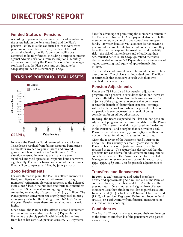# **Funded Status of Pensions**

According to pension legislation, an actuarial valuation of the assets held in the Pensions Fund and the Plan's pension liability must be conducted at least every three years. As of December 31, 2006, the date of the last actuarial valuation, the Plan's pension liability was estimated to be fully funded, including a surplus to protect against adverse deviations from assumptions. Monthly estimates, prepared by the Plan's Pensions Fund manager, confirmed that the Plan's pensions continued to be adequately funded to December 31, 2009.

# **PENSIONS PORTFOLIO - TOTAL ASSETS**



In 2009, the Pensions Fund recovered its 2008 losses. These losses resulted from falling corporate bond prices, as investors avoided corporate issues and favored government bonds during the "credit crunch". This situation reversed in 2009 as the financial sector stabilized and yield spreads on corporate bonds narrowed significantly. The next actuarial valuation of the Pensions Fund will be completed and filed by June 30, 2010.

## **2009 Retirements**

For over thirty-five years, the Plan has offered members a fixed, annuity-style pension at retirement. In 2009, members' retirements slowed in response to the Balanced Fund's 2008 loss. One hundred and thirty-four members started a CSS pension at an average age of 61.37, converting total equity of approximately \$15.5 million. The Plan's pension conversion rate slightly improved in 2009, averaging 5.27%, but fluctuating from 4.8% to 5.6% over the year. Pension costs therefore remained near historic highs.

Since 2006, the Plan has also offered a second retirement income option – Variable Benefit (VB) Payments. VB Payments are simply periodic withdrawals by a retiree from his or her own CSS pension account. VB Payments

have the advantage of permitting the member to remain in the Plan after retirement. A VB payment also permits the member to retain ownership and control over unspent funds. However, because VB Payments do not provide a guaranteed income for life like a traditional pension, they leave the member exposed to investment and mortality risk – the risk of market losses and of outliving their accumulated benefits. In 2009, 40 retired members elected to start receiving VB Payments at an average age of 59.56, converting total equity of approximately \$11.5 million.

The Plan does not promote one retirement income option over another. The choice is an individual one. The Plan recommends that members consult with their own qualified financial advisor.

# **Pension Adjustments**

Under the CSS Board's ad hoc pension adjustment program, each pension is considered for ad hoc increases on its ninth, fifteenth and twentieth anniversaries. The objective of the program is to ensure that pensioners receive the benefit of "better than expected" earnings within the Pensions Fund, whenever possible. However, no pension is ever decreased as a result of being considered for an ad hoc adjustment.

In 2009, the Board suspended the Plan's ad hoc pension adjustment program on the recommendation of the Plan's actuary. This recommendation was based on the decline in the Pensions Fund's surplus that occurred in 2008. Pensions started in 2000, 1994 and 1989 were therefore not considered for ad hoc increases in the past year.

Given the recovery of the Pensions Fund's surplus in 2009, the Plan's actuary has recently advised that the Plan's ad hoc pension adjustment program can be resumed in 2010. The actuary has also advised that the pensions not considered for adjustments in 2009 can be considered in 2010. The Board has therefore directed Management to review pensions started in 2000, 2001, 1994, 1995, 1989 and 1990 for possible adjustments in 2010.

# **Transfers and Repayments**

In 2009, 2,026 terminated and retired members transferred approximately \$68 million out of the Plan, as compared to 2,093 members and \$103.8 million in the previous year. One hundred and eighty-three of these members used their funds in the Plan to purchase a Life Income Fund (LIF), a Locked-in Retirement Income Fund (LRIF), a Prescribed Registered Retirement Income Fund (PRRIF) or a Life Annuity from financial institutions or insurers of their choosing.

# **Condolences**

The Board of Directors wishes to extend their condolences to the families and friends of the pensioners who passed away in 2009.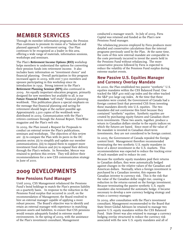# **MEMBER SERVICES**

Through its member information programs, the Pension Plan continues to promote its vision of a "balanced and planned approach" to retirement saving. Our Plan continues to be recognized as a leader in this area, offering a wide range of materials, information sessions, workshops and seminars.

The Plan's **Retirement Income Options (RIO)** workshop helps members to understand the options for converting their pension funds into retirement income. It also includes basic information on "investment choice" and financial planning. Overall participation in this program increased again in 2009, with over 7,500 members and spouses participating in this workshop since its introduction in 1995. Strong interest in the Plan's **Retirement Planning Seminar (RPS)** also continued in 2009. An equally important education program, primarily designed for new members but available to all, is our **Future Financial Freedom** "self study" financial planning workbook. This publication places a special emphasis on the message that financial planning and saving for retirement should begin at the earliest possible age. Approximately 2,500 copies of the workbook were distributed in 2009. Communication with the Plan's retirees continues through the Annual Report, TimeWise magazine and the Plan's web site.

In 2009, the Plan issued a Request for Proposals to conduct an external review the Plan's publications, seminars and workshops. The objectives of this review are: (i) to compare the Plan with its peers in the DC pension sector, (ii) to simplify and update our member communications, (iii) to expand them to support more investment fund choices and (iv) to expand their delivery through the Plan's website. In November, Mercer was retained to perform this review. They will deliver their recommendations for a new CSS communication strategy in June of 2010.

# **2009 DEVELOPMENTS**

## **New Pensions Fund Manager**

Until 2009, CSS Management rebalanced the Pensions Fund's bond holdings to match the Plan's pension liability on a quarterly basis. In response to the reduction in the Pensions Fund surplus that occurred in 2008, on the recommendation of Management, the Board resolved to hire an external manager capable of applying a more robust process. The Board's objective was to identify and retain an external manager with experience in matching pension assets and liabilities, to ensure that CSS pensions would remain adequately funded in extreme market environments. In the spring of 2009, with the assistance of the Plan's investment consultant, Management

conducted a manager search. In July of 2009, Fiera Capital was retained and funded as the Plan's new Pensions Fund manager.

The rebalancing process employed by Fiera produces more detailed and conservative calculations than the internal programs previously used by the Plan. At the same time, the costs of this new external mandate are comparable to the costs previously incurred to invest the assets held in the Pensions Fund without rebalancing. The more conservative process followed by Fiera is expected to reduce the volatility of the Pensions Fund surplus during extreme market events.

## **New Passive U.S. Equities Manager and Currency Overlay Mandate**

In 2000, the Plan established two passive "synthetic" U.S. equities mandates within the CSS Balanced Fund. One tracked the S&P 400 mid cap index and the other tracked the S&P 500 large cap index. At the time that these mandates were created, the Government of Canada had a foreign content limit that prevented CSS from investing these mandates directly into U.S. equities. The two mandates did not contravene this limit because they contained "synthetic" equities. Synthetic equities are created by purchasing equity futures and Canadian shortterm investments. These two assets, together, produce a return in Canadian dollars similar to the equity indices on which the futures are based. Since most of the value of the mandate is invested in Canadian short-term investments, they are not considered to be foreign content.

In 2005, the Government of Canada repealed the foreign content limit. Management therefore recommended terminating the two synthetic U.S. equity mandates in favor of a direct investment in the U.S. markets. This recommendation was expected to reduce the tracking error of each mandate and to reduce its cost.

Because the synthetic equity mandates paid their returns in Canadian dollars, they were automatically hedged against changes in the relative values of the Canadian and American dollars. Normally, when a foreign investment is purchased by a Canadian investor, this exposes the Canadian investor to currency risk. This is the risk that the value of the Canadian dollar might rise, causing a reduction in the returns earned on the foreign investment. Because terminating the passive synthetic U.S. equity mandates also terminated the automatic hedge, it became necessary to develop a new currency hedging strategy and retain a currency manager.

In 2009, after consultation with the Plan's investment consultant, Management recommended to the Board that State Street Global Advisors be retained to manage two passive U.S. equity mandates within the CSS Balanced Fund. State Street was also retained to manage a currency hedging overlay structured to reduce the currency risk associated with the new U.S. equity mandates and all of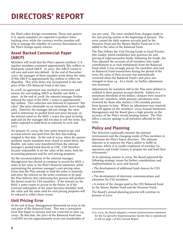# **DIRECTORS' REPORT**

the Plan's other foreign investments. These new passive U.S. equity mandates are expected to produce lower tracking error, while the currency overlay mandate will help to manage the volatility of currency fluctuations on the Plan's foreign equity returns.

## **Asset Backed Commercial Paper (ABCP)**

Members will recall that the Plan's passive synthetic U.S. equities mandates contained approximately \$62 million in third-party issued ABCP. In 2007, this ABCP ceased to roll over and went into default. At the end of December 2007, the manager of these mandate wrote down the value of this ABCP to approximately \$55 million to reflect its illiquidity. This write down was incorporated in the unit price of the CSS Balanced Fund at the time.

In 2008, an agreement was reached to restructure and reissue the non-trading ABCP as flexible rate MAV 2 notes. At the end of 2008, the external manager further reduced the value of the MAV 2 notes to approximately \$32 million. This reduction was believed to represent "fair value" (the price obtainable on an immediate, arm's length sale). However, the manager did not change the value used to determine its pooled fund unit price because: (i) the interest owed on the MAV 2 notes was (and is) being paid and (ii) the manager did not plan to sell the notes, but rather expected to hold them to maturity in 2016 and 2017.

On January 16, 2009, the new notes issued at par, and accrued interest was paid from the date that trading stopped to that date. At the end of 2009, when the passive synthetic equity mandates were closed as noted above, the flexible- rate notes were transferred from the external manager's pooled fund directly to CSS. CSS therefore became responsible to set the value of the notes, both for accounting purposes and for unit pricing purposes.

On the recommendation of the external manager, Management has elected to continue to record the MAV 2 notes at fair value in the Plan's financial statement, while maintaining the previous manager's unit pricing value. Given that the Plan intends to hold the notes to maturity, and since the interest on the notes continues to be paid, the Plan believes that continuing this process will produce the fairest result for CSS members. If the interest on the MAV 2 notes ceases to accrue in the future, or if the eventual redemption of the notes becomes doubtful, both fair value and the value used for unit pricing purposes will be reduced to reflect these events.

# **Unit Pricing Error**

At the end of June, Management discovered an error in the unit price of the Balanced Fund. This was a cumulative error that began in January and was corrected on June 24, 2009. By that date, the price of the Balanced Fund was 0.0678% too low (approximately seven one hundredths of

one per cent). The error resulted from changes made to the unit pricing system at the beginning of January. The error caused the daily expense accruals paid by the Pensions Fund and the Money Market Fund not to be added to the value of the Balanced Fund.

The Plan follows the Unit Pricing Guide to Good Practice (the Guide), which establishes best practices for unit pricing of superannuation funds. Following the Guide, the Plan adjusted the accounts of all members who made contributions to or took withdrawals from the Balanced Fund while it was wrongly priced. For members who had no Balanced Fund transactions during the period of the error, the value of their account was automatically corrected when the Balanced Fund's unit price was changed on June 24. As a result, no further adjustment was necessary.

Adjustments for members still in the Plan were debited or credited to their pension account directly. Subject to a minimum threshold of ten dollars, cheques were issued to "paid out" members, while pension calculations were reviewed for those who started a CSS monthly pension from January to June. Where an adjustment was required, this will appear on the members' 2009 Annual Statement. Management and the Board place a high priority on the accuracy of the Plan's record keeping system. The Plan offers a sincere apology to all members affected by this error.

# **Policy and Planning**

The Directors continually monitor the external environment and the changing needs of Plan members to determine the Plan's future direction. The ultimate objective is to improve the Plan's ability to fulfill its mission, which is to enable employees of member Cooperatives and Credit Unions to prepare for and fund their retirements.<sup>6</sup>

At its planning session in 2009, the Board approved the following strategic issues for further consideration and implementation in 2010 and beyond:

• The development of additional fund choices for CSS members;

• The development of electronic communications and education for CSS members;

• A review of the charges paid to the CSS Balanced Fund by the Money Market Fund and the Pensions Fund;

The Board's annual planning process will continue in January of 2010.

6 In 2003, the Board adopted a revised mission/vision statement for the Co-operative Superannuation Society that is reproduced in full on page 1 of this Annual Report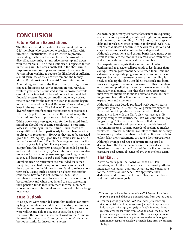# **CONCLUSION**

## **Future Return Expectations**

The Balanced Fund is the default investment option for CSS members who chose not to provide the Plan with investment instructions. It is structured to produce moderate growth over the long term. Because of its diversified asset mix, its unit price moves up and down with the markets. The fund's unit price is expected to rise in the long run, but occasionally fall in the short run in response to economic cycles and unanticipated events. For members wishing to reduce the likelihood of suffering a short-term loss as they near retirement, the Money Market Fund provides a lower risk/lower return option.

After falling for most of the first quarter of 2009, markets staged a dramatic recovery beginning in mid-March as western governments initiated stimulus programs while central banks injected trillions of dollars into the global financial system. Equity, commodity and energy prices rose in concert for the rest of the year as investors began to realize that another "Great Depression" was unlikely, at least in the near term. The Balanced Fund's broad diversification and fixed income investments produced a return at 17.34%. Nevertheless, at the end of 2009, the Balanced Fund's unit price was still below its 2007 peak.

While 2009 was a very good year for the Balanced Fund, members should not become complacent. Short-term losses will occur again in the future. Such losses are always difficult to bear, particularly for members nearing or already in retirement. However, they are to be expected given the 60% equity / 40% fixed income asset mix held in the Balanced Fund. The Plan's average return over the past sixty years is  $8.43\%$ .<sup>7</sup> History shows that markets can out-perform this long-term average for extended periods, as they did from the early 1980's until 2000, and can also under-perform this long-term average over long periods, as they did from 1961 to 1980 and from 2000 to 2009.<sup>8</sup>

Members nearing retirement are reminded that since 2005, they have had the option of moving some or all of their account into the Money Market Fund to reduce shortterm risk. Basing such a decision on short-term market conditions, however, is not recommended. Rather, members are encouraged to allocate their pension account based on how and when they intend to start converting their pension funds into retirement income. Members who are not near retirement are encouraged to take a longterm view.

### **2010 Outlook**

In 2009, we were reminded again that markets can move by large amounts in a short time. Thankfully, in this case, the sudden movement was to the upside. For those who were willing and able to stay the course, these gains reinforced the common investment wisdom that "time in the markets" rather than "timing the markets" offers the best opportunity for investment success.

As 2010 begins, many economic forecasters are expecting a weak recovery plagued by continued high unemployment and low consumer spending. As U.S. consumers repay debt and foreclosure rates continue at elevated levels, U.S. real estate values will continue to search for a bottom and corporate revenues will continue to be depressed. Although governments and central banks have made every effort to stimulate the economy, success is far from certain and a double dip recession is still a possibility.

Past experience suggests that a recession following a banking and real estate collapse tends to last longer than average. When government deficits reach their limit and extraordinary liquidity programs come to an end, unless exports, business investment or consumer spending is ready to take up the slack, it is likely that stock and bond prices will again come under pressure. In this uncertain environment, predicting market performance for 2010 is unusually challenging. It is therefore more important than ever for members to make decisions based on their long-term plan, rather than on their short-term expectations and emotions.

Although the past decade produced weak equity returns, particularly in the U.S., over the long term, we expect the Balanced Fund to produce an average return that is generally in line with the Plan's sixty-year average. By posting competitive returns, the Plan will continue to give long-serving CSS members confidence that their accumulated benefits will provide a reasonable level of retirement income. During periods of prolonged market weakness, however, additional voluntary contributions may be necessary, unless members are both willing and able to either delay their retirements or reduce their expectations.

Although average real rates of return are expected to decline from the levels recorded over the past decade, the Board anticipates that the Balanced Fund will continue to exceed its real return objective of 4% over the long term.

## **Thanks . . .**

As we do every year, the Board, on behalf of Plan members, would like to thank our staff, external portfolio managers, custodian, auditors, actuaries, and consultants for their efforts on our behalf. We appreciate their dedication and commitment to our Plan, our members and their retirement goals.

<sup>7</sup> This average includes the return of the CSS Pension Plan from 1949 to 2004 and of the CSS Balanced Fund from 2005 to 2009.

<sup>8</sup> Over the past 40 years, the S&P 500 Index (U.S. large cap stocks) has taken as long as 19 years (i.e. 1961 to 1980) and as little as 3 years (i.e. 1995 to 1998) to double in value. More recently, over the ten years from 2000 to 2009, the S&P 500 produced a negative annual return. The recent experience of investors must therefore be put in perspective with longerterm market results to develop a suitable long-term investment strategy.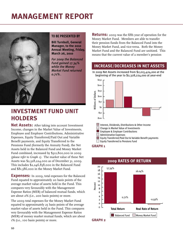# **MANAGEMENT REPORT**



### **TO BE PRESENTED BY**

**Bill Turnbull, General Manager, to the 2010 Annual Meeting, Friday, March 26, 2010**

*For 2009 the Balanced Fund gained 17.34% while the Money Market Fund returned 0.71%.*

# **INVESTMENT FUND UNIT HOLDERS**

**Net Assets:** After taking into account Investment Income, changes in the Market Value of Investments, Employee and Employer Contributions, Administrative Expenses, Equity Transferred/Paid Out and Variable Benefit payments, and Equity Transferred to the Pensions Fund (formerly the Annuity Fund), the Net Assets held in the Balanced Fund and Money Market Fund combined, increased by \$312,800,000 in 2009 *(please refer to Graph 1)*. The market value of these Net Assets was \$2,328,224,000 as of December 31, 2009. This includes \$2,246,838,000 in the Balanced Fund and \$81,386,000 in the Money Market Fund.

**Expenses:** In 2009, total expenses for the Balanced Fund equated to approximately 20 basis points of the average market value of assets held in the Fund. This compares very favourably with the Management Expense Ratios (MER) of balanced mutual funds, which are about 2% (i.e., 200 basis points) or more.

The 2009 total expenses for the Money Market Fund equated to approximately 25 basis points of the average market value of assets held in the Fund. This compares very favourably with the Management Expense Ratios (MER) of money market mutual funds, which are about 1% (i.e., 100 basis points) or more.

**Returns:** 2009 was the fifth year of operation for the Money Market Fund. Members are able to transfer their pension funds from the Balanced Fund into the Money Market Fund, and vice-versa. Both the Money Market Fund and the Balanced Fund are unitized. This means that the current value of a member's pension

# **INCREASE/DECREASES IN NET ASSETS**

In 2009 Net Assets increased from \$2,015,424,000 at the beginning of the year to \$2,328,224,000 at year-end



### **GRAPH 1**



## **2009 RATES OF RETURN**

**GRAPH 2**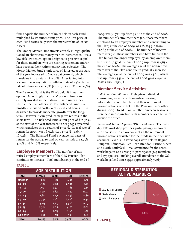funds equals the number of units held in each Fund multiplied by its current unit price. The unit price of each Fund varies daily with the market value of its Net Assets.

The Money Market Fund invests entirely in high-quality Canadian short-term money market instruments. It is a low risk-low return option designed to preserve capital for those members who are nearing retirement and/or have reached their retirement savings objective. The Money Market Fund's unit price of \$11.4734 at the start of the year increased to \$11.5545 at yearend, which translates into a return of 0.71%. After taking into account the 2009 national inflation rate of 1.3%, its real rate of return was  $-0.59\%$  (i.e.,  $0.71\%$  -  $1.3\%$  =  $-0.59\%$ ).

The Balanced Fund is the Plan's default investment option. Accordingly, members' pension funds are entirely invested in the Balanced Fund unless they instruct the Plan otherwise. The Balanced Fund is a broadly diversified portfolio of stocks and bonds. It is designed to provide moderate growth over the longterm. However, it can produce negative returns in the short-term. The Balanced Fund's unit price of \$10.5034 at the start of the year increased to \$12.3245 at yearend, which translates into a return of 17.34%. Its real rate of return for 2009 was  $16.04\%$  (i.e., 17.34% - 1.3% = 16.04%). The Balanced Fund's average real rates of return for the past 4, 10 and 20 year periods are 1.75%, 4.35% and 6.96% respectively.

**Employee Members:** The number of nonretired employee members of the CSS Pension Plan continues to increase. Total membership at the end of

### **TABLE 1**

| <b>AGE DISTRIBUTION</b> |               |             |              |                |  |  |  |
|-------------------------|---------------|-------------|--------------|----------------|--|--|--|
| <b>AGE</b>              | <b>FEMALE</b> | <b>MALE</b> | <b>TOTAL</b> | <b>TOTAL %</b> |  |  |  |
| Under 25                | 884           | 610         | 1,494        | 4.30           |  |  |  |
| $25 - 29$               | 1,526         | 1,068       | 2,594        | 7.47           |  |  |  |
| $30 - 34$               | 1,943         | 1,423       | 3,366        | 9.69           |  |  |  |
| $35 - 39$               | 2,325         | 1,674       | 3,999        | 11.52          |  |  |  |
| 40 - 44                 | 2,651         | 1,795       | 4,446        | 12.80          |  |  |  |
| $45 - 49$               | 3,744         | 2,262       | 6,006        | 17.30          |  |  |  |
| $50 - 54$               | 3,715         | 2,213       | 5,928        | 17.07          |  |  |  |
| $55 - 59$               | 2,384         | 1,786       | 4,170        | 12.01          |  |  |  |
| $60 - 64$               | 1,141         | 1,019       | 2,160        | 6.22           |  |  |  |
| 65 & over               | 242           | 316         | 558          | 1.61           |  |  |  |
| <b>TOTAL</b>            | 20,555        | 14,166      | 34,721       | 100.00         |  |  |  |

2009 was 34,721 (up from 33,662 at the end of 2008). The number of active members (i.e., those members employed by an employer member and contributing to the Plan) at the end of 2009 was 18,574 (up from 17,769 at the end of 2008). The number of inactive members (i.e., those members who have funds in the Plan but are no longer employed by an employer member) was  $16,147$  at the end of 2009 (up from  $15,983$  at the end of 2008). The average age of the non-retired members of the Plan continue to gradually increase. The average age at the end of 2009 was 45.86, which was up from 45.55 at the end of 2008 *(please refer to Table 1 and Graph 3)*.

### **Member Service Activities:**

*Individual Consultations:* Eighty-two individual counselling sessions with members seeking information about the Plan and their retirement income options were held in the Pension Plan's office during 2009. In addition, another nineteen sessions were held in conjunction with member service activities outside the office.

*Retirement Income Options (RIO) workshops:* The halfday RIO workshop provides participating employees and spouses with an overview of all the retirement income options available for the funds in their pension accounts. Seven RIO workshops were held in Regina, Dauphin, Edmonton, Red Deer, Brandon, Prince Albert and North Battleford. Total attendance for the seven workshops in 2009 was 516 participants (343 members and 173 spouses), making overall attendance to the 86 workshops held since 1995 approximately 7,567.



### **REGIONAL DISTRIBUTION: ACTIVE MEMBERS**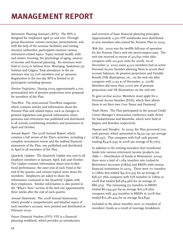*Retirement Planning Seminars (RPS):* The RPS is designed for employees aged 50 and over. Through group discussion, various exercises, presentations, and with the help of the seminar facilitator and visiting resource authorities, participants examine various retirement-related topics. Topics include health, wills and estates, housing, the psychology of aging, sources of income and financial planning. Six seminars were held in 2009 in Salmon Arm, Winnipeg, Saskatoon (2), Yorkton and Calgary. Total attendance to the six seminars was 153 (106 members and 47 spouses). Registration to the one-day RPS is limited to 36 participants including spouses.

*Pension Projections:* During 2009 approximately 2,700 personalized sets of pension projections were prepared for members of the Plan.

*TimeWise:* The semi-annual TimeWise magazine, which contains articles and information about the Pension Plan and related topics, such as changes to pension legislation and general information about pensions and retirement was published and distributed to all actively contributing members and pensioners in April and October.

*Annual Report:* The 2008 Annual Report, which contains a full review of the Plan's activities, including a complete investment review and the audited financial statements of the Plan, was published and distributed in April to all members of the Plan.

*Quarterly Updates:* The Quarterly Update was sent to all employer members in January, April, July and October. The Update contains information about year-to-date Fund performance, the asset mix of each Fund at the end of the quarter, and various topical news items for members. Employers are asked to share the information contained in the Quarterly Update with their employees. Similar information is also posted in the "What's New" section of the web site approximately three weeks after the end of each quarter.

*Annual Statements:* The 2008 Annual Statements, which provide a comprehensive and detailed report of each member's account, were printed and distributed in February 2009.

*Future Financial Freedom (FFF):* FFF is a financial planning workbook, which provides an introduction

and overview of basic financial planning principles. Approximately 2,500 FFF workbooks were distributed to new members who joined the Pension Plan in 2009.

*Web Site:* 2009 was the twelfth full-year of operation for the Pension Plan's web site (www.csspen.com). The web site received in excess of 413,650 visits (this compares with 212,400 visits for 2008). As of December 31, 2009 some 4,222 members had an active Personal Access Number allowing them to access their account balances, do pension projections and Variable Benefit (VB) illustrations, etc., via the web site (this compares with 3,159 as of December 31, 2008). Members did more than 3,000 sets of pension projections and VB illustrations via the web site.

To gain on-line access, Members must apply for a Personal Access Number (PAN), which then allows them to set their own User Name and Password.

*Trade Shows:* The Plan participated in the annual Credit Union Manager's Association conference trade shows for Saskatchewan and Manitoba, which were held in Regina and Brandon respectively.

*Payouts and Transfers:* In 2009, the Plan processed 709 cash payouts, which amounted to \$4,531,241 (an average of \$6,391). This compares with 698 cash payouts totaling \$5,416,999 in 2008 (an average of \$7,760).

In addition to the retiring members that transferred funds into various retirement income products (*see Table 2* – Distribution of Funds at Retirement: 2009), there were a total of 1,084 transfers into Locked-In Retirement Accounts (LIRAs) and RRSPs with various financial institutions in 2009. There were 711 transfers to LIRAs that totaled \$41,612,925 for an average of \$58,527 (this compares with 678 transfers to LIRAs in 2008 that totaled \$58,564,966 for an average of \$86,379). The remaining 373 transfers to RRSPs totaled \$6,049,437 for an average \$16,218 (this compares with 493 transfers to RRSPs in 2008 that totaled \$10,281,424 for an average \$22,854).

Included in the above transfers were 20 transfers of members' funds as a result of marriage breakdown.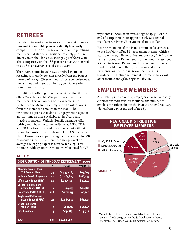# **RETIREES**

Long-term interest rates increased somewhat in 2009, thus making monthly pensions slightly less costly compared with 2008. In 2009, there were 134 retiring members that started a traditional monthly pension directly from the Plan at an average age of 61.73 years. This compares with the 188 pensions that were started in 2008 at an average age of 60.05 years

There were approximately 5,900 retired members receiving a monthly pension directly from the Plan at the end of 2009. We extend our sincere condolences to the families and friends of the 165 pensioners who passed away in 2009.

In addition to offering monthly pensions, the Plan also offers Variable Benefit (VB)<sup>1</sup> payments to retiring members. This option has been available since September 2006 and is simply periodic withdrawals from the member's account in the Plan. The investment options available to VB payment recipients are the same as those available to the Active and Inactive members. Variable Benefit payments offer retiring members the same flexibility as LIFs, LRIFs, and PRRIFs from financial institutions, but without having to transfer their funds out of the CSS Pension Plan. During 2009, 40 retiring members opted for VB payments as their retirement income option at an average age of 59.56 (please refer to Table 2). This compares with 79 retiring members who opted for VB

### **TABLE 2**

#### **DISTRIBUTION OF FUNDS AT RETIREMENT: 2009**

|                                                             | #   | <b>TOTAL</b> | <b>AVERAGE</b> |
|-------------------------------------------------------------|-----|--------------|----------------|
| <b>Monthly pension from</b><br><b>CSS Pension Plan</b>      | 134 | \$15,499,187 | \$115,665      |
| <b>Variable Benefit Payments</b>                            | 40  | \$11,465,829 | \$286,645      |
| Life Income Funds (LIFs)                                    | 48  | \$4,206,819  | \$87,642       |
| <b>Locked-in Retirement</b><br><b>Income Funds (LRIFs)</b>  | 3   | \$64,147     | \$21,382       |
| <b>Prescribed RRIFs (PRRIFs)</b>                            | 128 | \$7,711,535  | \$60,246       |
| <b>Registered Retirement</b><br><b>Income Funds (RRIFs)</b> | 43  | \$2,865,680  | \$66,643       |
| <b>Other Registered</b><br><b>Pension Plans</b>             | 7   | \$281,721    | \$40,245       |
| <b>Life Annuities</b>                                       | 4   | \$734,891    | \$183,722      |
| Total                                                       | 407 | \$42,829,809 |                |

payments in 2008 at an average age of 59.45. At the end of 2009 there were approximately 240 retired members receiving VB payments from the Plan.

Retiring members of the Plan continue to be attracted to the flexibility offered by retirement income vehicles available through financial institutions (i.e., Life Income Funds, Locked-in Retirement Income Funds, Prescribed RRIFs, Registered Retirement Income Funds,). As a result, in addition to the 134 pensions and 40 VB payments commenced in 2009, there were 233 transfers into lifetime retirement income vehicles with other institutions *(please refer to Table 2)*.

# **EMPLOYER MEMBERS**

After taking into account 9 employer amalgamations, 7 employer withdrawals/dissolutions, the number of employers participating in the Plan at year-end was 423 (down from 439 at the end of 2008).



1 Variable Benefit payments are available to members whose pension funds are governed by Saskatchewan, Alberta, Manitoba and British Columbia pension legislation.

# **REGIONAL DISTRIBUTION: EMPLOYER MEMBERS**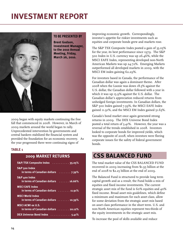# **INVESTMENT REPORT**



2009 began with equity markets continuing the free fall that commenced in 2008. However, in March of 2009 markets around the world began to rally. Unprecedented intervention by governments and central bankers stabilized the financial system and provided the foundation for an economic recovery. As the year progressed there were continuing signs of

### **TABLE 1**

## **2009 MARKET RETURNS**

| S&P/TSX Composite Index 35.05%                                                |
|-------------------------------------------------------------------------------|
| <b>S&amp;P</b> 500 Index<br>in terms of Canadian dollars  7.39%               |
| S&P 400 Index<br>in terms of Canadian dollars $\dots \dots$ 16.66%            |
| <b>MSCI EAFE Index</b><br>in terms of Canadian dollars 11.91%                 |
| <b>MSCI World Index</b><br>in terms of Canadian dollars $\dots \dots$ 10.39%  |
| <b>MSCI ACWI ex U.S.</b><br>in terms of Canadian dollars $\dots \dots$ 20.12% |
| DEX Universe Bond Index 5.41%                                                 |

improving economic growth. Correspondingly, investor's appetite for riskier investments such as equities and corporate bonds grew and markets rose.

The S&P TSX Composite Index posted a gain of 35.05% for the year, its best performance since 1979. The S&P 500 Index in U.S. currency was up 26.46%, while the MSCI EAFE Index, representing developed non-North American Markets was up 24.72%. Emerging Markets outperformed all developed markets in 2009, with the MSCI EM index gaining 62.29%.

For investors based in Canada, the performance of the Canadian dollar was again a dominant theme. After 2008 when the Loonie was down 18.5% against the U.S. dollar, the Canadian dollar followed with a year in which it was up 15.9% against the U.S. dollar. The Canadian dollar's appreciation reduced returns from unhedged foreign investments. In Canadian dollars, the S&P 500 Index gained 7.39%, the MSCI EAFE Index gained 11.91%, and the MSCI EM Index gained 51.63%.

Canada's bond market once again generated strong returns in 2009. The DEX Universe Bond Index posted a total return of 5.41%. However, the year was a reversal of the trends established in 2008. Investors looked to corporate bonds for improved yields, which was the opposite of 2008, when investors were fleeing corporate issues for the safety of federal government bonds.

# **CSS BALANCED FUND**

The total market value of the CSS BALANCED FUND recovered in 2009 increasing from \$1.95 billion at the end of 2008 to \$2.25 billion at the end of 2009.

The Balanced Fund is structured to provide long term capital growth and as a result, the Fund holds a mix of equities and fixed income investments. The current strategic asset mix of the fund is 60% equities and 40% fixed income. Broad asset mix guidelines, which define a minimum and maximum for each asset class, allow for some deviation from the strategic asset mix based on asset class performance in the short term. U.S. and non-North American equities represent two-thirds of the equity investments in the strategic asset mix.

To increase the pool of skills available and reduce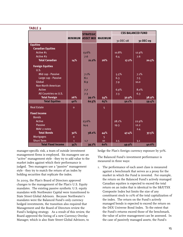| IADLL 2                               |              |                          |                |           |       |                          |           |
|---------------------------------------|--------------|--------------------------|----------------|-----------|-------|--------------------------|-----------|
|                                       |              | <b>STRATEGIC</b>         |                |           |       | <b>CSS BALANCED FUND</b> |           |
|                                       |              | <b>MINIMUM ASSET MIX</b> | <b>MAXIMUM</b> |           |       |                          |           |
|                                       |              |                          |                | 31-DEC-08 |       |                          | 31-DEC-09 |
| <b>Equities</b>                       |              |                          |                |           |       |                          |           |
| <b>Canadian Equities</b><br>Active #1 |              |                          |                |           |       |                          |           |
| Active #2                             |              | 13.6%                    |                | 10.8%     |       | 12.9%                    |           |
| <b>Total Canadian</b>                 |              | 7.6                      | 26%            | 6.4       |       | 7.6                      |           |
|                                       | 14%          | 21.2%                    |                |           | 17.2% |                          | 20.5%     |
| <b>Foreign Equities</b>               |              |                          |                |           |       |                          |           |
| U.S.                                  |              |                          |                |           |       |                          |           |
| Mid cap - Passive                     |              | 7.1%                     |                | 5.5%      |       | 7.1%                     |           |
| Large cap - Passive                   |              | 8.1                      |                | 6.3       |       | 7.5                      |           |
| Global                                |              | 8.9                      |                | 7.9       |       | 10.0                     |           |
| <b>Non-North American</b>             |              |                          |                |           |       |                          |           |
| Active                                |              | 7.7                      |                | 6.9%      |       | 8.0%                     |           |
| All Countries ex U.S.                 |              | 7.3                      |                | 7.3       |       | 6.3                      |           |
| <b>Total Foreign</b>                  | 26%          | 39.1%                    | 54%            |           | 32.9% |                          | 38.9%     |
| <b>Total Equities</b>                 | 40%          | 60.3%                    | 65%            |           | 50.1% |                          | 59.4%     |
| <b>Real Estate</b>                    | $\mathbf{o}$ |                          | $\overline{5}$ |           |       |                          |           |
|                                       |              |                          |                |           |       |                          |           |
| <b>Fixed Income</b>                   |              |                          |                |           |       |                          |           |
| <b>Bonds</b>                          |              |                          |                |           |       |                          |           |
| <b>Active</b>                         |              | 23.6%                    |                | 28.1%     |       | 22.9%                    |           |
| <b>Passive</b>                        |              | 14.4                     |                | 19.3      |       | 12.2                     |           |
| MAV 2 notes                           |              |                          |                |           |       | 2.4                      |           |
| <b>Total Bonds</b>                    | 32%          | 38.0%                    | 44%            |           | 47.4% |                          | 37.5%     |
| <b>Mortgages</b>                      | $\mathbf{o}$ |                          | 5              |           |       |                          |           |
| <b>Short Term</b>                     | $\mathbf{1}$ | 1.7                      | 10             | 2.5       |       | 3.1                      |           |
| <b>Total Fixed Income</b>             | 35%          | 39.7%                    | 60%            |           | 49.9% |                          | 40.6%     |

manager-specific risk, a team of outside investment management firms is employed. Six managers use an "active" management style - they try to add value to the market index against which their performance is judged. Two managers use a "passive" management style - they try to match the return of an index by holding securities that replicate the index.

**TABLE 2**

In 2009, the Plan's Board of Directors approved changes to the management of the Plan's U.S. Equity mandates. The existing passive synthetic U.S. equity mandates with Northwater Capital were transitioned to State Street Global Advisors. Because Northwater's mandates were the Balanced Fund's only currency hedged investments, the transition also required that Management and the Board of Directors review the Fund's hedging strategy. As a result of this review, the Board approved the hiring of a new Currency Overlay Manager, which is also State Street Global Advisors, to

hedge the Plan's foreign currency exposure by 50%.

The Balanced Fund's investment performance is measured in three ways:

1. The performance of each asset class is measured against a benchmark that serves as a proxy for the market in which the Fund is invested. For example, the return on the Balanced Fund's actively managed Canadian equities is expected to exceed the total return on an index that is identical to the S&P/TSX Composite Index but limits the size of any constituent stock to 10% of the total capitalization of the index. The return on the Fund's actively managed bonds is expected to exceed the return on the DEX Universe Bond Index. To the extent that the Fund's returns exceed those of the benchmark, the value of active management can be assessed. In the case of passively managed assets, the Fund's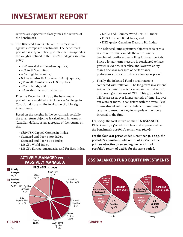# **INVESTMENT REPORT**

returns are expected to closely track the returns of the benchmark.

- 2. The Balanced Fund's total return is measured against a composite benchmark. The benchmark portfolio is a hypothetical portfolio that incorporates the weights defined in the Fund's strategic asset mix policy.
	- 20% invested in Canadian equities;
	- 15% in U.S. equities;
	- 10% in global equities;
	- 8% in non-North American (EAFE) equities;
	- 7% in all Countries ex U.S. equities
	- 38% in bonds; and
	- 2% in short- term investments.

Effective December of 2009 the benchmark portfolio was modified to include a 50% Hedge to Canadian dollars on the total value of all foreign investments.

Based on the weights in the benchmark portfolio, the total return objective is calculated, in terms of Canadian dollars, as an aggregate of the returns on the:

- S&P/TSX Capped Composite Index,
- Standard and Poor's 500 Index,
- Standard and Poor's 400 Index,
- MSCI's World Index,
- MSCI's Europe, Australasia, and Far East Index,
- MSCI's All Country World ex U.S. Index,
- DEX Universe Bond Index, and
- DEX 91-day Canadian Treasury Bill Index.

The Balanced Fund's primary objective is to earn a rate of return that exceeds the return on the benchmark portfolio over rolling four-year periods. Since a longer-term measure is considered to have greater relevance, reliability, and lower volatility than a one-year measure of performance, performance is calculated over a four-year period.

3. Finally, the Balanced Fund's total return is compared with inflation. The long-term investment goal of the Fund is to achieve an annualized return of at least 4% in excess of CPI. This goal, which will be assessed over longer periods of time, i.e. over ten years or more, is consistent with the overall level of investment risk that the Balanced Fund might assume to meet the long-term goals of members invested in the fund.

For 2009, the total return on the CSS BALANCED FUND was **17.34%** net of all fees and expenses while the benchmark portfolio's return was **16.77%**.

**For the four-year period ended December 31, 2009, the portfolio's annualized total return of 2.37% met the primary objective by exceeding the benchmark portfolio's return of 2.26% for the same period.**



# **PASSIVELY MANAGED:**

# **CSS BALANCED FUND EQUITY INVESTMENTS ACTIVELY MANAGED versus**



**GRAPH 2**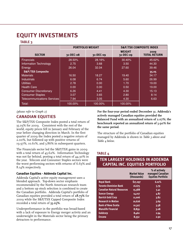# **EQUITY INVESTMENTS**

### **TABLE 3**

|                                    | <b>PORTFOLIO WEIGHT</b> |           |                            | <b>S&amp;P/TSX COMPOSITE INDEX</b> |
|------------------------------------|-------------------------|-----------|----------------------------|------------------------------------|
| <b>SECTOR</b>                      | 31-DEC-08               | 31-DEC-09 | <b>WEIGHT</b><br>31-DEC-09 | 2009<br><b>TOTAL RETURN</b>        |
| <b>Financials</b>                  | 28.50%                  | 28.16%    | 30.40%                     | 45.62%                             |
| <b>Information Technology</b>      | 2.75                    | 3.68      | 3.50                       | 44.30                              |
| Energy                             | 26.04                   | 32.04     | 27.60                      | 39.46                              |
| <b>S&amp;P/TSX Composite</b>       |                         |           |                            | 35.05                              |
| <b>Materials</b>                   | 16.50                   | 18.27     | 19.40                      | 34.17                              |
| <b>Industrials</b>                 | 6.08                    | 6.74      | 5.60                       | 26.99                              |
| <b>Utilities</b>                   | 2.78                    | 0.00      | 1.70                       | 19.00                              |
| <b>Health Care</b>                 | 0.00                    | 0.00      | 0.50                       | 19.00                              |
| <b>Consumer Discretionary</b>      | 6.26                    | 4.41      | 4.30                       | 15.13                              |
| <b>Consumer Staples</b>            | 3.07                    | 3.65      | 2.80                       | 8.14                               |
| <b>Telecommunications Services</b> | 7.94                    | 3.05      | 4.30                       | 6.63                               |
| Total:                             | 100.00%                 | 100.00%   | 100.00%                    |                                    |

*(please refer to Graph 2)*

# **CANADIAN EQUITIES**

The S&P/TSX Composite Index posted a total return of 35.05% for 2009. Consistent with the rest of the world, equity prices fell in January and February of the year before changing direction in March. In the first quarter of 2009 the Index posted a negative return of 2.00%, but followed up with positive returns of 19.97%, 10.61%, and 3.86% in subsequent quarters.

The Financials sector led the S&P/TSX gains in 2009 with a total return of 45.62%. Information Technology was not far behind, posting a total return of 44.30% in the year. Telecom and Consumer Staples sectors were the worst performing sectors with returns of 6.63% and 8.14% respectively.

### **Canadian Equities - Addenda Capital Inc.**

Addenda Capital's active equity management uses a blended approach. Top-down sector emphasis recommended by the North American research team and a bottom up stock selection is combined to create the Canadian portfolio. Addenda Capital's portfolio of Canadian equities provided a total return of **28.75%** for 2009 while the S&P/TSX Capped Composite Index recorded a total return of **35.05%**.

Underperformance in the portfolio was broad-based with a lack of exposure to Energy merger activity and an underweight in the Materials sector being the primary detractors to performance.

**For the four-year period ended December 31, Addenda's actively managed Canadian equities provided the Balanced Fund with an annualized return of 2.07%; the benchmark reported an annualized return of 3.90% for the same period.**

The structure of the portfolio of Canadian equities managed by Addenda is shown in *Table 3 above and Table 4 below*.

### **TABLE 4**

# **TEN LARGEST HOLDINGS IN ADDENDA CAPITAL INC. EQUITIES PORTFOLIO**

|                                   | <b>Market Value</b><br>(thousands) | % of actively<br>managed Canadian<br><b>Equities Portfolio</b> |
|-----------------------------------|------------------------------------|----------------------------------------------------------------|
| <b>Royal Bank</b>                 | \$17,297                           | 6.01%                                                          |
| <b>Toronto-Dominion Bank</b>      | 16,675                             | 5.79                                                           |
| <b>Canadian Natural Resources</b> | 15,588                             | 5.41                                                           |
| <b>Suncor Energy</b>              | 14,017                             | 4.87                                                           |
| <b>Barrick Gold Corp</b>          | 11,006                             | 3.82                                                           |
| <b>Research in Motion</b>         | 10,626                             | 3.69                                                           |
| <b>Bank of Nova Scotia</b>        | 10,307                             | 3.58                                                           |
| <b>Manulife Financial</b>         | 8,859                              | 3.08                                                           |
| Goldcorp                          | 8,460                              | 2.94                                                           |
| <b>Encana</b>                     | 8,352                              | 2.90                                                           |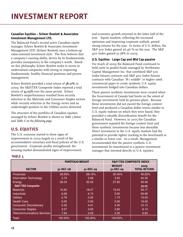### **Canadian Equities – Scheer Rowlett & Associates Investment Management LTD.**

The Balanced Fund's second active Canadian equity manager, Scheer Rowlett & Associates Investment Management LTD. (Scheer Rowlett) uses a bottom-up value-oriented investment style. The firm believes that a company's earning ability, driven by its fundamentals, provides transparency to the company's worth. Based on this philosophy Scheer Rowlett seeks to invest in undervalued companies with strong or improving fundamentals, healthy financial positions and proven management.

Scheer Rowlett provided a total return of **38.17%** in 2009; the S&P/TSX Composite Index reported a total return of **35.05%** over the same period. Scheer Rowlett's outperformance resulted from security selection in the Materials and Consumer Staples sectors while security selection in the Energy sector and an underweight position in the Utilities sector detracted.

The structure of the portfolio of Canadian equities managed by Scheer Rowlett is shown in *Table 5 below and Table 6 on the following page*.

# **U.S. EQUITIES**

The U.S. economy started to show signs of improvement in 2009 largely as a result of the accommodative monetary and fiscal policies of the U.S. government. Corporate profits strengthened, the housing market demonstrated signs of improvement,

and economic growth returned in the latter half of the year. Equity markets, reflecting the increased optimism and improving corporate outlook, posted strong returns for the year. In terms of U.S. dollars, the S&P 500 Index gained 26.46 % on the year. The S&P 400 Index gained 37.38% in 2009.

### **U.S. Equities - Large Cap and Mid Cap passive**

For much of 2009 the Balanced Fund continued to hold units in pooled funds managed by Northwater Capital Management Inc. that combined S&P 500 Index futures contracts and S&P 400 Index futures contracts with Canadian "R-1 middle" or higher rated commercial paper to create synthetic U.S. equity investments hedged into Canadian dollars.

These passive synthetic investments were created when the Government of Canada had limits on the extent of foreign investments held by pension plans. Because these investments did not exceed the foreign content limit and produced a Canadian dollar return similar to U.S. equity indexes on which they were based, they provided a valuable diversification benefit for the Balanced Fund. However, in 2005 the Canadian government repealed the foreign content limit and these synthetic investments became less desirable. Direct investment in the U.S. equity markets had the potential to provide tighter tracking to the benchmark at a similar or lower cost. As a result, Management recommended that the passive synthetic U.S. investments be transitioned to a passive investment manager that invested directly in U.S. equities.

|                                    | <b>PORTFOLIO WEIGHT</b> |           |                            | <b>S&amp;P/TSX COMPOSITE INDEX</b> |
|------------------------------------|-------------------------|-----------|----------------------------|------------------------------------|
| <b>SECTOR</b>                      | 31-DEC-08               | 31-DEC-09 | <b>WEIGHT</b><br>31-DEC-09 | 2009<br><b>TOTAL RETURN</b>        |
| <b>Financials</b>                  | 28.59%                  | 28.16%    | 30.40%                     | 45.62%                             |
| <b>Information Technology</b>      | 2.75                    | 3.68      | 3.50                       | 44.30                              |
| <b>Energy</b>                      | 26.04                   | 32.04     | 27.60                      | 39.46                              |
| <b>S&amp;P/TSX Composite</b>       |                         |           |                            | 35.05                              |
| <b>Materials</b>                   | 16.50                   | 18.27     | 19.40                      | 34.17                              |
| <b>Industrials</b>                 | 6.08                    | 6.74      | 5.60                       | 26.99                              |
| <b>Utilities</b>                   | 2.78                    | 0.00      | 1.70                       | 19.00                              |
| <b>Health Care</b>                 | 0.00                    | 0.00      | 0.50                       | 19.00                              |
| <b>Consumer Discretionary</b>      | 6.26                    | 4.41      | 4.30                       | 15.13                              |
| <b>Consumer Staples</b>            | 3.07                    | 3.65      | 2.80                       | 8.14                               |
| <b>Telecommunications Services</b> | 7.94                    | 3.05      | 4.30                       | 6.63                               |
| Total:                             | 100.00%                 | 100.00%   | 100.00%                    |                                    |

### **TABLE 5**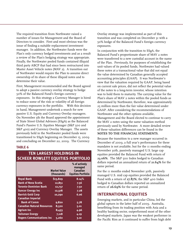The required transition from Northwater raised a number of issues for Management and the Board of Directors to consider. First and most obvious was the issue of finding a suitable replacement investment manager. In addition, the Northwater funds were the Plan's only currency hedged investments and as a result a review of the Plan's hedging strategy was appropriate. Finally, the Northwater pooled funds contained illiquid third party ABCP that had since been restructured into Master Asset Vehicle notes (MAV 2). A transition out of Northwater would require the Plan to assume direct ownership of its share of these illiquid notes and to determine their value.

First, Management recommended and the Board agreed to adopt a passive currency overlay strategy to hedge 50% of the Balanced Fund's foreign currency exposures. In this strategy a Currency Manager is hired to reduce some of the risk or volatility of all foreign currency exposures in the portfolio. With this decision in hand, Management undertook a search for new passive U.S. Equity and Currency Overlay managers. On November 5th the Board approved the appointment of State Street Global Advisors (SSgA) as the Balanced Fund's Passive U.S. Equities Manager (S&P 500 and S&P 400) and Currency Overlay Manager. The assets previously held in the Northwater pooled funds were transitioned to SSgA beginning on December 15, 2009 and concluding on December 22, 2009. The Currency

#### **TABLE 6**

| - - - - - - - -<br>. .<br>.<br><b>SCHEER ROWLETT EQUITIES PORTFOLIO</b> |                                    |                                                                   |  |  |  |  |  |  |
|-------------------------------------------------------------------------|------------------------------------|-------------------------------------------------------------------|--|--|--|--|--|--|
|                                                                         | <b>Market Value</b><br>(thousands) | % of actively<br>managed<br>Canadian<br><b>Equities Portfolio</b> |  |  |  |  |  |  |
| <b>Royal Bank</b>                                                       | \$13,829                           | 8.14%                                                             |  |  |  |  |  |  |
| <b>Bank of Nova Scotia</b>                                              | 12,851                             | 7.56                                                              |  |  |  |  |  |  |
| <b>Toronto-Dominion Bank</b>                                            | 12,737                             | 7.50                                                              |  |  |  |  |  |  |
| <b>Suncor Energy Inc</b>                                                | 12,378                             | 7.28                                                              |  |  |  |  |  |  |
| <b>Barrick Gold Corp</b>                                                | 10,290                             | 6.06                                                              |  |  |  |  |  |  |
| <b>Canadian Imperial</b>                                                |                                    |                                                                   |  |  |  |  |  |  |
| <b>Bank of Comm</b>                                                     | 9,820                              | 5.78                                                              |  |  |  |  |  |  |
| <b>Canadian Natural Resources</b>                                       | 8,520                              | 5.01                                                              |  |  |  |  |  |  |
| <b>Agrium Inc</b>                                                       | 8,433                              | 4.96                                                              |  |  |  |  |  |  |
| <b>Talisman Energy</b>                                                  | 7,118                              | 4.19                                                              |  |  |  |  |  |  |
| <b>Rogers Communications Inc</b>                                        | 5,260                              | 3.10                                                              |  |  |  |  |  |  |

**TEN LARGEST HOLDINGS IN**

Overlay strategy was implemented as part of this transition and was completed on December 31 with a 50% hedge of the Balanced Fund's foreign currency exposures.

In conjunction with the transition to SSgA, the Balanced Fund's proportionate share of MAV 2 notes were transferred to a new custodial account in the name of the Plan. Previously, for purposes of establishing the unit values of its pooled funds, Northwater had valued these notes at a transactional value that did not equal the value determined by Canadian generally accepted accounting principles (GAAP). It was Northwater's view that the valuation required by GAAP, being based on current sale prices, did not reflect the potential value of the notes to a long-term investor, whose intention was to hold them to maturity. The carrying value for the Plan's share of MAV 2 notes within the pooled funds as determined by Northwater, therefore, was approximately 25 million more than the fair value determined under GAAP. After considering the recommendations of Northwater and the other options available, Management and the Board elected to continue to carry the MAV 2 notes using the same valuation method previously used by Northwater. A more detailed review of these valuation differences can be found in the **NOTES TO THE FINANCIAL STATEMENTS**.

Because the transition to a new manager occurred in December of 2009, a full year's performance for these mandates is not available, but for the 11 months ending November 30th, passively managed U.S. large cap equities provided the Balanced Fund with return of **23.06%**. The S&P 500 Index hedged to Canadian dollars reported an annualized return of **21.64%** for the same period.

For the 11 months ended November 30th, passively managed U.S. mid cap equities provided the Balanced Fund with a return of **27.87%**; the S&P 400 Index hedged to Canadian dollars reported an annualized return of **26.69%** for the same period.

## **INTERNATIONAL EQUITIES**

Emerging markets, and in particular China, led the global upturn in the latter half of 2009. Australia, benefitting from its trading position with Asia and a healthy banking sector, outperformed most of the other developed markets. Japan was the weakest performer in the Pacific Rim as it continued to suffer from high debt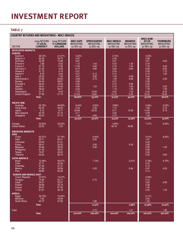# **INVESTMENT REPORT**

# **TABLE 7**

| <b>COUNTRY RETURNS AND WEIGHTINGS - MSCI INDICES</b>   |                                                   |                                              |                                            |                                              |                                             |                                          |                                                            |                                            |
|--------------------------------------------------------|---------------------------------------------------|----------------------------------------------|--------------------------------------------|----------------------------------------------|---------------------------------------------|------------------------------------------|------------------------------------------------------------|--------------------------------------------|
| <b>SECTOR</b>                                          | 2009 RETURN<br><b>IN LOCAL</b><br><b>CURRENCY</b> | 2009 RETURN<br>IN CANADIAN<br><b>DOLLARS</b> | <b>MSCI EAFE</b><br>WEIGHTING<br>31-DEC-09 | <b>SPRUCEGROVE</b><br>WEIGHTING<br>31-DEC-09 | <b>MSCI WORLD</b><br>WEIGHTING<br>31-DEC-09 | <b>BRANDES</b><br>WEIGHTING<br>31-DEC-09 | <b>MSCI ACWI</b><br><b>EX US</b><br>WEIGHTING<br>31-DEC-09 | <b>THORNBURG</b><br>WEIGHTING<br>31-DEC-09 |
| <b>DEVELOPED MARKETS</b>                               |                                                   |                                              |                                            |                                              |                                             |                                          |                                                            |                                            |
| <b>EUROPE</b>                                          |                                                   |                                              |                                            |                                              |                                             |                                          |                                                            |                                            |
| Austria $\in$<br>Belgium $\in$                         | 38.74%<br>52.59                                   | 21.61%<br>33.75                              | 0.32%<br>0.97                              |                                              | 0.15%<br>0.46                               |                                          | 0.23%<br>0.68                                              |                                            |
| <b>Denmark</b>                                         | 32.28                                             | 15.98                                        | 0.87                                       |                                              | 0.41                                        |                                          | 0.61                                                       | 3.50                                       |
| Finland $\in$                                          | 7.68                                              | $-5.62$                                      | 1.12                                       | 1.40                                         | 0.53                                        | 1.43                                     | 0.79                                                       |                                            |
| France $\in$<br>Germany $\in$                          | 27.73<br>21.25                                    | 11.96<br>6.28                                | 11.06<br>8.10                              | 3.60<br>3.80                                 | 5.19<br>3.80                                | 7.24<br>3.64                             | 7.78<br>5.69                                               | 9.40<br>6.50                               |
| Greece $\in$                                           | 21.15                                             | 6.19                                         | 0.51                                       |                                              | 0.24                                        |                                          | 0.36                                                       | 1.70                                       |
| Ireland $\in$                                          | 8.78                                              | $-4.64$                                      | 0.27                                       | 5.10                                         | 0.13                                        |                                          | 0.19                                                       | 1.00                                       |
| Italy $\in$<br>Netherlands $\in$                       | 22.63<br>37.82                                    | 7.49<br>20.80                                | 3.47<br>2.69                               | 3.60<br>2.70                                 | 1.63<br>1.26                                | 4.48<br>6.68                             | 2.44<br>1.89                                               | 2.50                                       |
| Norway                                                 | 54.34                                             | 58.87                                        | 0.80                                       |                                              | 0.37                                        |                                          | 0.56                                                       |                                            |
| Portugal $\in$                                         | 36.04                                             | 19.24                                        | 0.32                                       |                                              | 0.15                                        | 0.96                                     | 0.22                                                       |                                            |
| Spain $\in$<br>Sweden                                  | 39.01<br>48.22                                    | 21.85<br>39.41                               | 4.60<br>2.53                               | 1.20                                         | 2.16<br>1.19                                | 1.63<br>1.26                             | 3.24<br>1.78                                               | 2.00<br>1.90                               |
| Switzerland                                            | 21.71                                             | 6.42                                         | 7.70                                       | 13.50                                        | 3.62                                        | 1.03                                     | 5.42                                                       | 8.20                                       |
| <b>United Kingdom</b>                                  | 27.59                                             | 21.70                                        | 21.63                                      | 18.80                                        | 10.16                                       | 6.35                                     | 15.22                                                      | 19.40                                      |
|                                                        | Total:                                            |                                              | 66.96%                                     | 53.70%                                       | 31.52%                                      | 34.70%                                   | 47.10%                                                     | 56.10%                                     |
| <b>PACIFIC RIM</b>                                     |                                                   |                                              |                                            |                                              |                                             |                                          |                                                            |                                            |
| Australia                                              | 36.78%                                            | 49.83%                                       | 8.43%                                      | 2.60%                                        | 3.96%                                       |                                          | 5.93%                                                      | 2.20%                                      |
| Hong Kong<br>Japan                                     | 60.23<br>9.12                                     | 36.00<br>$-9.77$                             | 2.34<br>$\frac{20.68}{ }$                  | 4.30<br>20.30                                | 1.10<br>9.71                                | 15.29                                    | 1.65<br>14.55                                              | 2.10<br>8.70                               |
| <b>New Zealand</b>                                     | 20.79                                             | 27.73                                        | 0.11                                       |                                              | 0.05                                        |                                          | 0.08                                                       |                                            |
| Singapore                                              | 69.52                                             | 47.73                                        | 1.48                                       | 4.90                                         | 0.70                                        |                                          | 1.04                                                       |                                            |
|                                                        | Total:                                            |                                              | 33.04%                                     | 32.10%                                       | 15.52%                                      | 15.29%                                   | 23.25%                                                     | 13.00%                                     |
| Canada<br><b>United States</b>                         | 32.63%<br>26.25                                   | 32.63%<br>7.22                               |                                            |                                              | 4.86%<br>48.18                              | 45.82                                    | 7.27%                                                      | 6.50%                                      |
| <b>EMERGING MARKETS</b><br><b>ASIA</b>                 |                                                   |                                              |                                            |                                              |                                             |                                          |                                                            |                                            |
| China                                                  | 62.37%                                            | 37.19%                                       |                                            | 0.40%                                        |                                             |                                          | 4.01%                                                      | 8.20%                                      |
| India<br>Indonesia                                     | 93.71<br>95.00                                    | 66.41<br>81.81                               |                                            | 2.00                                         |                                             |                                          | 1.67<br>0.42                                               |                                            |
| Korea                                                  | 58.41                                             | 34.33                                        |                                            | 3.90                                         |                                             | 0.33                                     | 2.85                                                       |                                            |
| Malaysia                                               | 50.48                                             | 28.32                                        |                                            | 0.80                                         |                                             |                                          | 0.59                                                       | 1.00                                       |
| Philippines<br>Taiwan                                  | 61.03<br>74.67                                    | 36.91<br>40.22                               |                                            |                                              |                                             |                                          | 0.09<br>2.54                                               |                                            |
| Thailand                                               | 69.26                                             | 39.70                                        |                                            |                                              |                                             |                                          | 0.30                                                       | 0.60                                       |
| <b>LATIN AMERICA</b>                                   |                                                   |                                              |                                            |                                              |                                             |                                          |                                                            |                                            |
| <b>Brazil</b><br>Chile                                 | 70.48%<br>47.71                                   | 90.67%<br>45.29                              |                                            | 1.70%                                        |                                             | 2.21%                                    | 3.79%<br>0.32                                              | 4.70%                                      |
| Colombia                                               | 67.49                                             | 51.57                                        |                                            |                                              |                                             |                                          | 0.14                                                       |                                            |
| Mexico                                                 | 47.66                                             | 29.38                                        |                                            | 0.20                                         |                                             | 0.44                                     | 0.97                                                       | 4.20                                       |
| Peru                                                   | 68.85                                             | 56.26                                        |                                            |                                              |                                             |                                          | 0.13                                                       |                                            |
| <b>EUROPE AND MIDDLE EAST</b><br><b>Czech Republic</b> | 20.57%                                            | 13.27%                                       |                                            |                                              |                                             |                                          | 0.09%                                                      |                                            |
| Hungary                                                | 74.90                                             | 52.71                                        |                                            | 0.70                                         |                                             |                                          | 0.12                                                       |                                            |
| <b>Israel</b>                                          | 54.31                                             | 23.57                                        |                                            |                                              |                                             |                                          | 0.62                                                       | 2.90                                       |
| Poland<br>Russia                                       | 36.66<br>84.61                                    | 23.19<br>67.93                               |                                            |                                              |                                             |                                          | 0.28<br>1.42                                               |                                            |
| Turkey                                                 | 91.81                                             | 40.18                                        |                                            |                                              |                                             |                                          | 0.33                                                       | 1.30                                       |
| <b>AFRICA</b>                                          |                                                   |                                              |                                            |                                              |                                             |                                          |                                                            |                                            |
| Egypt                                                  | 39.19%                                            | 10.63%                                       |                                            |                                              |                                             |                                          | 0.11%                                                      |                                            |
| Morocco<br>South Africa                                | $-7.62$<br>25.70                                  | $-18.58$<br>27.66                            |                                            | 1.80                                         |                                             |                                          | 0.04<br>1.55                                               |                                            |
|                                                        | Total:                                            |                                              |                                            | 11.50%                                       |                                             | 2.98%                                    | 22.38%                                                     | 22.90%                                     |
|                                                        |                                                   |                                              |                                            | 2.70                                         |                                             |                                          |                                                            |                                            |
| Cash                                                   | Total:                                            |                                              | 100.00%                                    | 100.00%                                      | 100.00%                                     | 1.21<br>100.00%                          | 100.00%                                                    | 1.50<br>100.00%                            |
|                                                        |                                                   |                                              |                                            |                                              |                                             |                                          |                                                            |                                            |
|                                                        |                                                   |                                              |                                            |                                              |                                             |                                          |                                                            |                                            |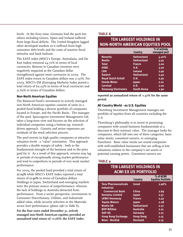levels. In the Euro zone, Germany lead the pack but others including Greece, Spain and Ireland suffered from large fiscal deficits. The United Kingdom lagged other developed markets as it suffered from high consumer debt levels and the costs of massive fiscal stimulus and bank bailouts.

The EAFE index (MSCI's Europe, Australasia, and Far East Index) returned 24.72% in terms of local currencies. Returns to Canadian investors were negatively impacted as the Canadian dollar strengthened against most currencies in 2009. The EAFE index return in Canadian dollars was 11.91%. For 2009, MSCI's EM (Emerging Markets) Index posted a total return of 62.29% in terms of local currencies and 51.63% in terms of Canadian dollars.

### **Non-North American Equities**

The Balanced Fund's investment in actively managed non-North American equities consists of units in a pooled fund holding a diverse portfolio of companies located in Europe, and the Pacific Basin. The manager of the pool, Sprucegrove Investment Management Ltd, takes a long-term view and focuses on the selection of individual companies using a bottom-up, researchdriven approach. Country and sector exposures are residuals of the stock selection process.

The pool invests in high quality companies at attractive valuation levels - a "value" orientation. This approach provides a double margin of safety - both in the fundamental strength of the business and in the price paid for it. As a result of this approach, returns may lag in periods of exceptionally strong market performance and tend to outperform in periods of very weak market performance.

For 2009, the pooled fund provided a total return of **17.03%** while MSCI's EAFE Index reported a total return of **11.91%** in terms of Canadian dollars. Holdings in Japan, Switzerland and emerging markets were the primary source of outperformance, whereas the lack of holdings in Australia detracted from performance. From a sector perspective, investments in Consumer Discretionary, Utilities, and Industrials added value, while security selection in the Materials sector hurt performance *(please refer to Table 8)*.

**For the four years ended December 31, actively managed non-North American equities provided an annualized total return of -0.26%; the EAFE Index**

### **TABLE 8**

# **TEN LARGEST HOLDINGS IN NON-NORTH AMERICAN EQUITIES POOL**

|                            | Country            | % of actively<br>managed pool |
|----------------------------|--------------------|-------------------------------|
| <b>Novarits</b>            | <b>Switzerland</b> | 4.20%                         |
| <b>Nestle</b>              | <b>Switzerland</b> | 3.50                          |
| <b>Total</b>               | <b>France</b>      | 3.00                          |
| <b>HSBC</b>                | U.K.               | 3.00                          |
| <b>CRH</b>                 | <b>Ireland</b>     | 2.90                          |
| <b>Swatch</b>              | <b>Switzerland</b> | 2.40                          |
| <b>Royal Dutch Schell</b>  | U.K.               | 2.30                          |
| <b>Honda Motor</b>         | Japan              | 2.10                          |
| <b>Carnival</b>            | U.K.               | 2.00                          |
| <b>Smasung Electronics</b> | <b>South Korea</b> | 1.90                          |

**reported an annualized return of -1.52% for the same period.**

### **All Country World - ex U.S. Equities**

Thornburg Investment Management manages our portfolio of equities from all countries excluding the U.S.

Thornburg's philosophy is to invest in promising companies with sound business fundamentals at a discount to their intrinsic value. The manager looks for companies, which fall into one of three categories: basic value stocks, consistent earners, or emerging franchises. Basic value stocks are sound companies with well-established businesses that are selling at low valuations relative to the company's net assets or potential earning power. Consistent earners are

### **TABLE 9**

# **TEN LARGEST HOLDINGS IN ACWI EX US PORTFOLIO**

|                                                  | Country            | % of ACWI<br><b>Equities Portfolio</b> |
|--------------------------------------------------|--------------------|----------------------------------------|
| <b>Teva Pharmaceuticals</b><br><b>Industrial</b> | Israel             | 2.96%                                  |
| <b>Commercial Bank</b>                           | China              | 2.69                                   |
| <b>Komatsu Limited</b>                           | Japan              | 2.57                                   |
| <b>LVMH Hennessy</b>                             | <b>France</b>      | 2.42                                   |
| <b>Toyota Motors</b>                             | Japan              | 2.28                                   |
| <b>Nestle SA</b>                                 | <b>Switzerland</b> | 2.27                                   |
| <b>BHP Billiton</b>                              | <b>Australia</b>   | 2.21                                   |
| <b>SAP AG</b>                                    | Germany            | 2.21                                   |
| <b>Hong Kong Exchange</b>                        | <b>Hong Kong</b>   | 2.15                                   |
| Novo - Nordisk                                   | <b>Denmark</b>     | 2.13                                   |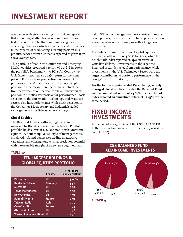companies with steady earnings and dividend growth that are selling at attractive values and priced below historical norms. The third and final category are emerging franchises which are value-priced companies in the process of establishing a leading position in a product, service or market that is expected to grow at an above average rate.

This portfolio of non-North American and Emerging Market equities produced a return of **15.76%** in 2009; the portfolio's benchmark – MSCI's All Country - ex U.S. Index – reported a **20.12%** return for the same period. From a sector perspective, underweight positions in the Materials sector and an overweight position in Healthcare were the primary detractors from performance on the year, while an underweight position in Utilities was positive for performance. Stock selection in the Information Technology and Materials sectors also hurt performance while stock selection in the Consumer Discretionary and Industrials added value *(please refer to Table 9 on previous page)*.

### **Global Equities**

The Balanced Fund's portfolio of global equities is managed by Brandes Investment Partners, LP. This portfolio holds a mix of U.S. and non-North American equities. A bottom-up "value" style of management is employed. Sound businesses trading at attractive valuations and offering long-term appreciation potential with a reasonable margin of safety are sought out and

### **TABLE 10**

## **TEN LARGEST HOLDINGS IN GLOBAL EQUITIES PORTFOLIO**

|                                  | <b>Country</b> | % of Global<br><b>Equities Portfolio</b> |
|----------------------------------|----------------|------------------------------------------|
| <b>Phizer Inc.</b>               | นร             | 3.60%                                    |
| <b>Deutsche Telecom</b>          | <b>Germany</b> | 3.59                                     |
| <b>Microsoft</b>                 | นร             | 3.55                                     |
| <b>Texas Instruments</b>         | US             | 3.52                                     |
| <b>Dow Chemical</b>              | US             | 3.01                                     |
| <b>Sannofi-Aventis</b>           | <b>France</b>  | 2.96                                     |
| <b>Telecom Italia</b>            | <b>Italy</b>   | 2.75                                     |
| <b>Carrefour SA</b>              | <b>France</b>  | 2.73                                     |
| Glaxosmithkline                  | UК             | 2.38                                     |
| <b>Verizon Communications US</b> |                | 2.36                                     |

held. While the manager monitors short-term market developments, their investment philosophy focuses on a company-by-company analysis with a long-term perspective.

The Balanced Fund's portfolio of global equities provided a total return of **5.60%** for 2009 while the benchmark index reported **10.39%** in terms of Canadian dollars. Investments in the Japanese Financial sector detracted from performance, while investments in the U.S. Technology Sector were the largest contributors to portfolio performance in the year *(please refer to Table 10)*.

**For the four-year period ended December 31, actively managed global equities provided the Balanced Fund with an annualized return of –4.84%; the benchmark index reported an annualized return of –2.45% for the same period.**

# **FIXED INCOME INVESTMENTS**

At the end of 2009, 40.6% of the CSS BALANCED FUND was in fixed income investments (49.9% at the end of 2008).



**GRAPH 4**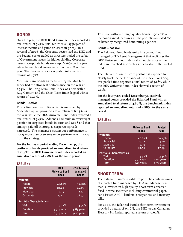## **BONDS**

Over the year, the DEX Bond Universe Index reported a total return of 5.41% (total return is an aggregate of interest income and gains or losses in price). In a reversal of 2008, the Corporate sector lead the DEX and the Federal sector trailed as investors traded the safety of Government issues for higher yielding Corporate issues. Corporate bonds were up 16.26% on the year while Federal bond issues were down 0.21% on the year. The Provincial sector reported intermediate returns of 4.72%

Medium Term Bonds as measured by the Mid Term Index had the strongest performance on the year at 7.54%. The Long Term Bond Index was next with a 5.49% return and the Short Term Index lagged with a return of 0.44%.

### **Bonds – Active**

This active bond portfolio, which is managed by Addenda Capital, provided a total return of **8.65%** for the year, while the DEX Universe Bond Index reported a total return of **5.41%**. Addenda had built an overweight position in corporate bonds in 2007 and 2008 and that strategy paid off in 2009 as corporate spreads narrowed. The manager's strong out-performance in 2009 more than overcame underperformance in 2008 from the strategy.

**For the four-year period ending December 31, this portfolio of bonds provided an annualized total return of 5.34%; the DEX Universe Bond Index reported an annualized return of 4.88% for the same period.**

### **TABLE 11**

|                                   | <b>DEX</b><br><b>Universe Bond</b><br><b>Index</b> | <b>CSS Actively</b><br><b>Managed</b><br><b>Bonds</b> |
|-----------------------------------|----------------------------------------------------|-------------------------------------------------------|
| <b>Weights:</b>                   |                                                    |                                                       |
| Federal                           | 46.89%                                             | 35.08%                                                |
| Provincial                        | 24.22                                              | 24.45                                                 |
| <b>Municipal</b>                  | 1.39                                               | 2.10                                                  |
| Corporate                         | 27.50                                              | 38.37                                                 |
| <b>Portfolio Characteristics:</b> |                                                    |                                                       |
| Yield                             | 3.32%                                              | 3.55%                                                 |
| <b>Duration</b>                   | 5.91 years                                         | 5.83 years                                            |
| Term                              | 8.71 years                                         | 9.10 years                                            |

This is a portfolio of high quality bonds. 90.40% of the bonds and debentures in this portfolio are rated "A" or better by recognized bond-rating agencies.

### **Bonds – passive**

The Balanced Fund holds units in a pooled fund managed by TD Asset Management that replicates the DEX Universe Bond Index - all characteristics of the index are matched as closely as practicable in the pooled fund.

The total return on this core portfolio is expected to closely track the performance of the index. For 2009, this pooled fund reported a total return of **5.28%** while the DEX Universe Bond Index showed a return of **5.41%**.

**For the four years ended December 31, passively managed bonds provided the Balanced Fund with an annualized total return of 4.80%; the benchmark index reported an annualized return of 4.88% for the same period.**

|                                   | <b>Universe Bond</b><br>Index | <b>Pooled</b><br><b>Fund</b> |
|-----------------------------------|-------------------------------|------------------------------|
| <b>Weights:</b>                   |                               |                              |
| Federal                           | 46.89%                        | 46.77%                       |
| Provincial                        | 24.22                         | 24.20                        |
| <b>Municipal</b>                  | 1.39                          | 1.54                         |
| Corporate                         | 27.50                         | 27.49                        |
| <b>Portfolio Characteristics:</b> |                               |                              |
| Yield                             | 3.32%                         | 3.34%                        |
| <b>Duration</b>                   | 5.91 years                    | $5.92$ years                 |
| Term                              | 8.71 years                    | 8.70 years                   |

# **SHORT-TERM**

**TABLE 12**

The Balanced Fund's short-term portfolio contains units of a pooled fund managed by TD Asset Management that is invested in high-quality, short-term Canadian fixed income securities including commercial paper, bank issued ABCP, bankers' acceptances, and treasury bills.

For 2009, the Balanced Fund's short-term investments provided a return of **0.96%**; the DEX 91-day Canadian Treasury Bill Index reported a return of **0.62%**.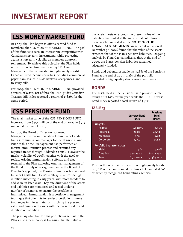# **CSS MONEY MARKET FUND**

In 2005, the Plan began to offer a second fund to members, the CSS MONEY MARKET FUND. The goal of this fund is to earn an interest rate competitive with Canadian short-term investments, while protecting against short-term volatility as members approach retirement. To achieve this objective, the Plan holds units in a pooled fund managed by TD Asset Management that is invested in high-quality short-term Canadian fixed income securities including commercial paper, bank issued ABCP, bankers' acceptances, and treasury bills.

For 2009, the CSS MONEY MARKET FUND provided a return of **0.71% net of fees**; the DEX 91-day Canadian Treasury Bill Index reported a return of **0.62%** for the same period.

# **CSS PENSIONS FUND**

The total market value of the CSS PENSIONS FUND increased from \$495 million at the end of 2008 to \$523 million at the end of 2009.

In 2009 the Board of Directors approved Management's recommendation to hire Fiera Capital Inc. as immunization manager for the Pensions Fund. Prior to this time, Management had performed an internal immunization process and executed any required trades through Addenda Capital. However the market volatility of 2008, together with the need to replace existing immunization software and data, resulted in the Plan exploring external management of the Fund. In July of 2009, pursuant to the Board of Director's approval, the Pensions Fund was transitioned to Fiera Capital Inc. Fiera's strategy is to provide tight duration matching in early years, with more freedom to add value in later years. Key rate durations of the assets and liabilities are monitored and tested under a number of scenarios to ensure the portfolio is immunized. Immunization is a portfolio management technique that attempts to render a portfolio immune to changes in interest rates by matching the present value and duration of assets with the present value and duration of liabilities.

The primary objective for this portfolio as set out in the Plan's investment policy is to ensure that the value of

the assets meets or exceeds the present value of the liabilities discounted at the internal rate of return of those assets. As stated in the **NOTES TO THE FINANCIAL STATEMENTS**, an actuarial valuation at December 31, 2006 found that the value of the assets exceeded that of the Plan's pension liabilities. Ongoing analysis by Fiera Capital indicates that, at the end of 2009, the Plan's pension liabilities remained adequately funded.

Bonds and debentures made up 97.8% of the Pensions Fund at the end of 2009; 2.2% of the portfolio consisted of high quality short-term investments.

# **BONDS**

The assets held in the Pensions Fund provided a total return of 12.61% for the year, while the DEX Universe Bond Index reported a total return of 5.41%.

### **TABLE 13**

|                                   | <b>Universe Bond</b><br><b>Index</b> | <b>Pensions</b><br><b>Fund</b><br><b>Bonds</b> |
|-----------------------------------|--------------------------------------|------------------------------------------------|
| <b>Weights:</b>                   |                                      |                                                |
| Federal                           | 46.89%                               | 9.86%                                          |
| Provincial                        | 24.22                                | 48.30                                          |
| <b>Municipal</b>                  | 1.39                                 | 4.02                                           |
| Corporate                         | 27.50                                | 37.82                                          |
| <b>Portfolio Characteristics:</b> |                                      |                                                |
| Yield                             | 3.32%                                | 4.40%                                          |
| <b>Duration</b>                   | 5.91 years                           | 8.02 years                                     |
| Term                              | 8.71 years                           | 17.48 years                                    |

This portfolio is mainly made up of high quality bonds. 98.76% of the bonds and debentures held are rated "A" or better by recognized bond rating agencies.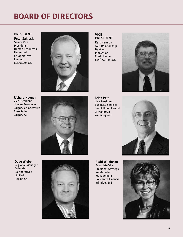# **BOARD OF DIRECTORS**

### **PRESIDENT:**

**Peter Zakreski** Senior Vice President - Human Resources Federated Co-operatives Limited Saskatoon SK



**Richard Noonan** Vice President, Human Resources Calgary Co-operative Association Calgary AB



**VICE PRESIDENT: Earl Hanson** AVP, Relationship Banking Innovation Credit Union Swift Current SK



**Brian Peto** Vice President Business Services Credit Union Central of Manitoba Winnipeg MB



**Doug Wiebe** Regional Manager Federated Co-operatives Limited Regina SK



**Audri Wilkinson** Associate Vice President Strategic Relationship Management Concentra Financial Winnipeg MB

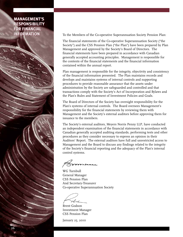# **MANAGEMENT'S MANAGEMENT'S RESPONSIBILITY RESPONSIBILITY FOR FINANCIAL FOR FINANCIAL INFORMATION**

To the Members of the Co-operative Superannuation Society Pension Plan:

The financial statements of the Co-operative Superannuation Society ("the Society") and the CSS Pension Plan ("the Plan") have been prepared by Plan Management and approved by the Society's Board of Directors. The financial statements have been prepared in accordance with Canadian generally accepted accounting principles. Management is responsible for the contents of the financial statements and the financial information contained within the annual report.

Plan management is responsible for the integrity, objectivity and consistency of the financial information presented. The Plan maintains records and develops and maintains systems of internal controls and supporting procedures to provide reasonable assurance that the assets under administration by the Society are safeguarded and controlled and that transactions comply with the Society's Act of Incorporation and Bylaws and the Plan's Rules and Statement of Investment Policies and Goals.

The Board of Directors of the Society has oversight responsibility for the Plan's systems of internal controls. The Board oversees Management's responsibility for the financial statements by reviewing them with Management and the Society's external auditors before approving them for issuance to the members.

The Society's external auditors, Meyers Norris Penny LLP, have conducted an independent examination of the financial statements in accordance with Canadian generally accepted auditing standards, performing tests and other procedures as they consider necessary to express an opinion in their Auditors' Report. The external auditors have full and unrestricted access to Management and the Board to discuss any findings related to the integrity of the Society's financial reporting and the adequacy of the Plan's internal control systems.

WG Turnbull General Manager CSS Pension Plan And Secretary-Treasurer Co-operative Superannuation Society

reland

Brent Godson Investment Manager CSS Pension Plan

January 25, 2010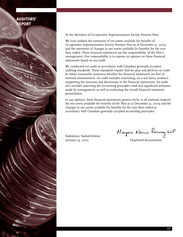# **AUDITORS' AUDITORS' REPORT REPORT**

To the Members of Co-operative Superannuation Society Pension Plan:

We have audited the statement of net assets available for benefits of Co-operative Superannuation Society Pension Plan as at December 31, 2009 and the statement of changes in net assets available for benefits for the year then ended. These financial statements are the responsibliity of the Plan's management. Our responsibility is to express an opinion on these financial statements based on our audit.

We conducted our audit in accordance with Canadian generally accepted auditing standards. Those standards require that we plan and perform an audit to obtain reasonable assurance whether the financial statements are free of material misstatement. An audit includes examining, on a test basis, evidence supporting the amounts and disclosures in the financial statements. An audit also includes assessing the accounting principles used and significant estimates made by management, as well as evaluating the overall financial statement presentation.

In our opinion, these financial statements present fairly, in all material respects, the net assets available for benefits of the Plan as at December 31, 2009 and the changes in net assets available for benefits for the year then ended in accordance with Canadian generally accepted accounting principles.

Saskatoon, Saskatchewan January 25, 2010 Chartered Accountants

Mayers Noris Renny LLP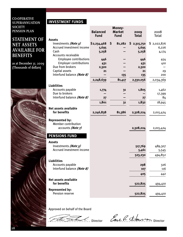### **MANAGEMENT'S CO-OPERATIVE RESPONSIBILITY SUPERANNUATION SOCIETY**<br>PENGLON PLAN **INFORMATION PENSION PLAN SOCIETY**

# **STATEMENT OF NET ASSETS AVAILABLE FOR BENEFITS**

**as at December 31, 2009 (Thousands of dollars)**



# **INVESTMENT FUNDS**

|                                                                    | <b>Balanced</b><br><b>Fund</b> | Money-<br><b>Market</b><br><b>Fund</b> | 2009<br><b>Total</b> | 2008<br>Total |
|--------------------------------------------------------------------|--------------------------------|----------------------------------------|----------------------|---------------|
| <b>Assets</b><br>Investments (Note 3)                              | \$2,234,468                    | \$<br>81,282                           | \$2,315,750          | \$2,022,876   |
| Accrued investment income                                          | 5,695                          |                                        | 5,695                | 6,226         |
| Cash                                                               | 5,258                          |                                        | 5,258                | 4,174         |
| Accounts receivable                                                |                                |                                        |                      |               |
| <b>Employee contributions</b>                                      | 446                            |                                        | 446                  | 454           |
| <b>Employer contributions</b>                                      | 431                            |                                        | 431                  | 410           |
| Due from brokers                                                   | 2,320                          |                                        | 2,320                |               |
| Captial assets                                                     | 21                             |                                        | 21                   | 29            |
| Interfund balance (Note 8)                                         |                                | 135                                    | 135                  | 200           |
|                                                                    | 2,248,639                      | 81,417                                 | 2,330,056            | 2,034,369     |
| <b>Liabilities</b>                                                 |                                |                                        |                      |               |
| Accounts payable                                                   | 1,774                          | 31                                     | 1,805                | 1,462         |
| Due to brokers                                                     |                                |                                        |                      | 17,399        |
| Interfund balance (Note 8)                                         | 27                             |                                        | 27                   | 84            |
|                                                                    | 1,801                          | 31                                     | 1,832                | 18,945        |
| <b>Net assets available</b><br>for benefits                        | 2,246,838                      | 81,386                                 | 2,328,224            | 2,015,424     |
| <b>Represented by:</b><br>Member contribution<br>accounts (Note 7) |                                |                                        | 2,328,224            | 2,015,424     |
| <b>PENSIONS FUND</b>                                               |                                |                                        |                      |               |
| <b>Assets</b>                                                      |                                |                                        |                      |               |
| Investments (Note 3)                                               |                                |                                        | 517,769              | 489,307       |
| Accrued investment income                                          |                                |                                        | 5,461                | 5,545         |
|                                                                    |                                |                                        | 523,230              | 494,852       |
| <b>Liabilities</b>                                                 |                                |                                        |                      |               |
| Accounts payable                                                   |                                |                                        | 298                  | 326           |
| Interfund balance (Note 8)                                         |                                |                                        | 107                  | 116           |
|                                                                    |                                |                                        | 405                  | 442           |
|                                                                    |                                |                                        |                      |               |
| <b>Net assets available</b><br>for benefits                        |                                |                                        | 522,825              | 494,410       |
| <b>Represented by:</b><br>Pension reserve                          |                                |                                        | 522,825              | 494,410       |

Approved on behalf of the Board



Eur R Hanson Director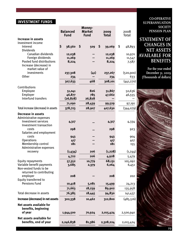# **INVESTMENT FUNDS**

|                                                      | <b>Balanced</b>        | Money-<br><b>Market</b> |                      | 2008             |
|------------------------------------------------------|------------------------|-------------------------|----------------------|------------------|
|                                                      | <b>Fund</b>            | <b>Fund</b>             | 2009<br><b>Total</b> | Total            |
| Increase in assets                                   |                        |                         |                      |                  |
| Investment income                                    |                        |                         |                      |                  |
| Interest                                             | $\mathsf{S}$<br>38,560 | \$<br>509               | \$<br>39,069         | \$<br>48,893     |
| <b>Dividends</b><br>Canadian dividends               | 12,038                 |                         | 12,038               | 10,970           |
| Foreign dividends                                    | 11,269                 |                         | 11,269               | 11,547           |
| Pooled fund distributions                            | 8,224                  |                         | 8,224                | 7,587            |
| Increase (decrease) in                               |                        |                         |                      |                  |
| market value of<br>investments                       |                        |                         |                      |                  |
| Other                                                | 237,308<br>234         | (41)                    | 237,267<br>234       | (520,900)<br>633 |
|                                                      |                        |                         |                      |                  |
|                                                      | 307,633                | 468                     | 308,101              | (441, 270)       |
| Contributions                                        |                        |                         |                      |                  |
| Employee                                             | 51,041                 | 826                     | 51,867               | 50,636           |
| Employer<br>Interfund transfers                      | 46,877<br>(26, 828)    | 785<br>26,828           | 47,662               | 46,555           |
|                                                      | 71,090                 | 28,439                  | 99,529               | 97,191           |
| Total increase (decrease) in assets                  | 378,723                | 28,907                  | 407,630              | (344,079)        |
|                                                      |                        |                         |                      |                  |
| <b>Decrease in assets</b><br>Administrative expenses |                        |                         |                      |                  |
| <b>Investment services</b>                           | 4,317                  |                         | 4,317                | 4,334            |
| Investment transaction                               |                        |                         |                      |                  |
| costs                                                | 298                    |                         | 298                  | 923              |
| Salaries and employment                              |                        |                         |                      |                  |
| costs<br><b>Operations</b>                           | 943                    |                         | 943                  | 904              |
| Membership control                                   | 417<br>181             |                         | 417<br>181           | 407<br>155       |
| Administrative expenses                              |                        |                         |                      |                  |
| recovery                                             | (1,434)                | 206                     | (1,228)              | (1, 244)         |
|                                                      | 4,722                  | 206                     | 4,928                | 5,479            |
| <b>Equity repayments</b>                             | 57,352                 | 10,779                  | 68,131               | 105,092          |
| Variable benefit payments                            | 3,685                  | 2,379                   | 6,064                | 6,451            |
| Non-vested funds to be<br>returned to contributing   |                        |                         |                      |                  |
| employer                                             | 208                    |                         | 208                  | 202              |
| Equity transferred to                                |                        |                         |                      |                  |
| <b>Pensions Fund</b>                                 | 10,418                 | 5,081                   | 15,499               | 24,213           |
|                                                      | 71,663                 | 18,239                  | 89,902               | 135,958          |
| Total decrease in assets                             | 76,385                 | 18,445                  | 94,830               | 141,437          |
| Increase (decrease) in net assets                    | 302,338                | 10,462                  | 312,800              | (485, 516)       |
| Net assets available for                             |                        |                         |                      |                  |
| benefits, beginning                                  |                        |                         |                      |                  |
| of year                                              | 1,944,500              | 70,924                  | 2,015,424            | 2,500,940        |
| Net assets available for                             |                        |                         |                      |                  |
| benefits, end of year                                | 2,246,838              | 81,386                  | 2,328,224            | 2,015,424        |

**CO-OPERATIVE SUPERANNUATION SOCIETY PENSION PLAN**

# **STATEMENT OF CHANGES IN NET ASSETS AVAILABLE FOR BENEFITS**

**For the year ended December 31, 2009 (Thousands of dollars)**

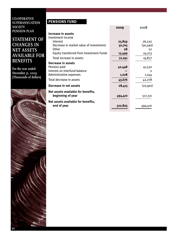**CO-OPERATIVE SUPERANNUATION SOCIETY PENSION PLAN**

# **STATEMENT OF CHANGES IN NET ASSETS AVAILABLE FOR BENEFITS**

**For the year ended December 31, 2009 (Thousands of dollars)**



# **PENSIONS FUND**

|                                          | 2009    | 2008      |
|------------------------------------------|---------|-----------|
| Increase in assets                       |         |           |
| Investment income                        |         |           |
| Interest                                 | 25,859  | 26,232    |
| Decrease in market value of investments  | 30,705  | (30, 590) |
| <b>Other</b>                             | 28      | 22        |
| Equity transferred from Investment Funds | 15,499  | 24,213    |
| Total increase in assets                 | 72,091  | 19,877    |
| Decrease in assets                       |         |           |
| Pension paid                             | 42,448  | 41,532    |
| Interest on interfund balance            |         | 2         |
| Administrative expenses                  | 1,228   | 1,244     |
| Total decrease in assets                 | 43,676  | 42,778    |
| Decrease in net assets                   | 28,415  | (22,901)  |
| Net assets available for benefits,       |         |           |
| beginning of year                        | 494,410 | 517,311   |
| Net assets available for benefits,       |         |           |
| end of year                              | 522,825 | 494,410   |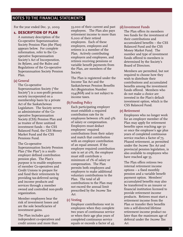# **NOTES TO THE FINANCIAL STATEMENTS**

For the year ended Dec. 31, 2009

### **1. DESCRIPTION OF PLAN**

A summary description of the Co-operative Superannuation Society Pension Plan (the Plan) appears below. For complete information, refer to the Cooperative Superannuation Society's Act of Incorporation, its Bylaws, and the Rules and Regulations of the Co-operative Superannuation Society Pension Plan.

### **(a) General**

The Co-operative Superannuation Society ("the Society") is a non-profit pension society incorporated on a membership basis by a private Act of the Saskatchewan Legislature. The Society serves as administrator of the Cooperative Superannuation Society (CSS) Pension Plan and as trustee of three unitized investment funds – the CSS Balanced Fund, the CSS Money Market Fund and the CSS Pensions Fund.

The Co-operative

Superannuation Society Pension Plan ("the Plan") is a multiemployer defined contribution pension plan. The Plan's purpose is to enable employees of member Co-operatives and Credit Unions to prepare for and fund their retirements by providing tax-deferred saving and income products and services through a member owned and controlled non-profit organization.

Member employees bear the risk of investment losses and are the sole beneficiaries of investment gains.

The Plan includes 420 independent co-operatives and credit unions and more than

33,000 of their current and past employees. The Plan also pays retirement income to more than 6,000 of their retired employees. Each of these employers, employees and retirees is a member of the Plan. Actively contributing employers and employees, and retirees receiving pensions or variable benefit payments from the Plan, are members of the Society.

The Plan is registered under the Income Tax Act and the Saskatchewan Pension Benefits Act (Registration Number 0345868) and is not subject to income taxes.

### **(b) Funding Policy**

Each participating employer must establish a required contribution rate for its employees between 0% and 9% of salary or compensation. Employers must deduct employees' required contributions from their salary and match that contribution with an employer contribution of an equal amount. If the employee required contribution rate is set at 0%, the employer must still contribute a minimum of 1% of salary or compensation. The Plan permits both employees and employers to make additional voluntary contributions to the Plan. The total of all contributions to the Plan may not exceed the annual limit prescribed by the *Income Tax Act*.

### **(c) Vesting**

Employer contributions vest in employees when they complete two years of continuous service or when their age plus years of completed continuous service equals or exceeds a factor of 45.

### **(d) Investment Funds**

The Plan offers its members two funds for the investment of their contributions and accumulated benefits – the CSS Balanced Fund and the CSS Money Market Fund. The number and type of investment funds offered to members is determined by the Society's Board of Directors.

Members are permitted, but not required to choose how they wish to distribute their contributions and accumulated benefits among the investment funds offered. Members who do not make a choice are invested in the Plan's default investment option, which is the CSS Balanced Fund.

### **(e) Retirement**

Employees who no longer work for an employer member of the Plan may apply for retirement benefits upon reaching age 50 or once the employee's age plus years of completed continuous service reaches a factor of 75. Phased retirement, as permitted under the *Income Tax Act* and provincial pension legislation, is also available to employees who have reached age 55.

The Plan offers retirees two internal retirement income options – a fixed monthly pension and a variable benefit payment option. Members' accumulated benefits may also be transferred to an insurer or financial institution licensed to provide retirement income products. Retirees must start a retirement income from the Plan or transfer their benefits into a self-directed lifetime retirement income product no later than the maximum age of deferral under the *Income Tax Act*.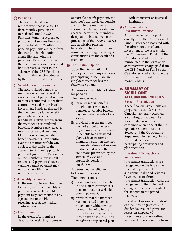### **(f) Pensions**

The accumulated benefits of retirees who choose to start a fixed monthly pension are transferred into the CSS Pensions Fund – a segregated portfolio that secures the Plan's pension liability. Monthly pension payments are paid from this Fund. The Plan offers single life, and joint life pensions. Pensions provided by the Plan may receive periodic ad hoc increases, subject to the solvency of the CSS Pensions Fund and the policies adopted by the Plan's Board of Directors.

### **(g) Variable Benefit Payments**

The accumulated benefits of members who choose to start a variable benefit payment remain in their account and under their control, invested in the Plan's Investment Funds as directed by the member. Variable benefit payments are periodic withdrawals taken directly from the member's accumulated benefits. Members may select a monthly or annual payment. Members receiving variable benefit payments have control over the amounts withdrawn, subject to the limits in the *Income Tax Act* and applicable pension legislation. Depending on the member's investment returns and payment choices, a variable benefit payment may not provide a lifetime retirement income.

### **(h)Disability Pensions**

In the event of termination due to health, injury or disability, a pension or variable benefit payment may commence at any age, subject to the Plan receiving acceptable medical confirmation.

#### **(i) Death Benefits**

In the event of a member's death prior to starting a pension

or variable benefit payment, the member's accumulated benefits are paid to the member's spouse, beneficiary or estate in accordance with the member's designation, but subject to the provisions of the *Income Tax Act* and applicable pension legislation. The Plan provides immediate vesting of employer contributions on the death of a member.

### **(j) Termination Options**

Upon final termination of employment with any employer participating in the Plan, an employee member has the following options:

### Accumulated benefits locked-in for pension

The member may:

- i) leave locked-in benefits in the Plan to commence a pension or variable benefit payment when eligible to do so, or;
- ii) provided that the member has not started a pension, he/she may transfer lockedin benefits to a registered plan with an insurer or financial institution licensed to provide retirement income products that meets the conditions prescribed by the *Income Tax Act* and applicable pension legislation.

### Accumulated benefits not locked-in for pension

#### The member may:

- i) leave non-locked-in benefits in the Plan to commence a pension or start a variable benefit payment, or;
- ii) provided that the member has not started a pension, he/she may withdraw nonlocked-in benefits in the form of a cash payment net income tax or as a qualified transfer to a registered plan

with an insurer or financial institution.

### **(k) Administrative and Investment Expense**

All Plan expenses are paid directly from the CSS Balanced Fund. Expenses associated with the administration of and the investment of the assets held in the CSS Pensions Fund and the CSS Money Market Fund are reimbursed in the form of an administrative charge paid from the CSS Pensions Fund or the CSS Money Market Fund to the CSS Balanced Fund on a monthly basis.

### **2. SUMMARY OF SIGNIFICANT ACCOUNTING POLICIES**

#### **Basis of Presentation**

These financial statements are prepared in accordance with Canadian generally accepted accounting principles. The statements present the combined operations of the Cooperative Superannuation Society and the Co-operative Superannuation Society Pension Plan, independent of participating employers and plan members.

### **Investment Transactions and Income**

Investment transactions are recognized on the trade date (the date upon which substantial risks and rewards have been transferred). Investment transaction costs are recognized in the statement of changes in net assets available for benefits in the period incurred.

Investment income consists of earned income (interest and dividends), realized gains and losses on disposal of investments, and unrealized gains and losses resulting from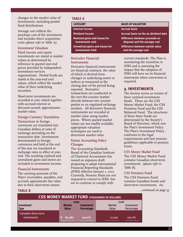changes in the market value of investments, including pooled fund distributions.

Average cost reflects the purchase cost of the investment and includes direct acquisition costs *(please refer to Table A)*.

### **Investment Valuation**

Fixed income and equity investments are stated at market values as determined by reference to quoted year-end prices provided by independent investment services organizations. Pooled funds are stated at the year-end unit values, which reflect the market value of their underlying securities.

Short-term investments are recorded at cost, which together with accrued interest or discount earned, approximates market value.

### **Foreign Currency Translation**

Transactions in foreign currencies are translated into Canadian dollars at rates of exchange prevailing on the transaction date. Investments denominated in foreign currencies and held at the end of the year are translated at exchange rates in effect at yearend. The resulting realized and unrealized gains and losses are included in investment income.

### **Financial Instruments**

The carrying amounts of the Plan's receivables, payables, and accruals approximate fair value due to their short-term nature.

### **TABLE A**

#### **CATEGORY**

**Interest Income Dividend Income**

**Realized gains and losses for investments sold**

**Unrealized gains and losses for investments held**

### **Derivative Financial Instruments**

Derivative financial instruments are financial contracts, the value of which is derived from changes in underlying assets or indices as measured at the closing date of the period being reported. Derivative transactions are conducted in the over-the-counter market directly between two counter parties or on regulated exchange markets. All derivative financial instruments are recorded at market value using market prices. Where quoted market values are not readily available, appropriate valuation techniques are used to determine market value.

### **Future Accounting Policy Changes**

The Accounting Standards Board of the Canadian Institute of Chartered Accountants has issued an exposure draft proposing to adopt International Financial Reporting Standards (IFRS) effective January 1, 2011. Currently, Pension Plans are not required to convert to IFRS, but are to continue to comply with

#### **BASIS OF VALUATION**

**Accrual basis Accrual basis on the ex-dividend date**

**Difference between proceeds on disposal and the average cost**

**Difference between market value and the average cost**

current standards. The Plan is monitoring the transition to IFRS and is assessing the impact that the adoption of IFRS will have on its financial statements when conversion is required.

### **3. INVESTMENTS**

The Society serves as trustee of three unitized investment funds. These are the CSS Money Market Fund, the CSS Pensions Fund and the CSS Balanced Fund. The structures of these three funds are determined by the Society's Board of Directors, which sets the Plan's Investment Policy. The Plan's Investment Policy conforms to the legal requirements and best practice guidelines applicable to pension trusts.

### **CSS Money Market Fund**

The CSS Money Market Fund contains Canadian short-term investments *(please refer to Table B)*.

### **CSS Pensions Fund**

The CSS Pensions Fund contains Canadian bonds and short-term investments. An

#### **TABLE B** *. . . continued on page 35*

| <b>CSS MONEY MARKET FUND (THOUSANDS OF DOLLARS)</b> |                               |                                        |                 |                          |
|-----------------------------------------------------|-------------------------------|----------------------------------------|-----------------|--------------------------|
|                                                     | 2009                          |                                        | 2008            |                          |
| l Investment<br>  Type                              | <b>Market</b><br><b>Value</b> | <b>Investment</b><br><b>Percentage</b> | Market<br>Value | Investment<br>Percentage |
| <b>Canadian Short-term</b><br>investments           | 81,282                        | $100.0\%$                              | 71,046          | $100.0\%$                |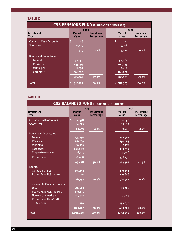### **TABLE C**

| <b>CSS PENSIONS FUND (THOUSANDS OF DOLLARS)</b> |                               |                                        |                 |                          |  |
|-------------------------------------------------|-------------------------------|----------------------------------------|-----------------|--------------------------|--|
|                                                 | 2009                          |                                        | 2008            |                          |  |
| <b>Investment</b><br><b>Type</b>                | <b>Market</b><br><b>Value</b> | <b>Investment</b><br><b>Percentage</b> | Market<br>Value | Investment<br>Percentage |  |
| <b>Custodial Cash Accounts</b>                  | $\vert$ Sı<br><b>16</b>       |                                        | \$<br>22        |                          |  |
| Short-term                                      | 11,413                        |                                        | 3,298           |                          |  |
|                                                 | 11,429                        | 2.2%                                   | 3,320           | 0.7%                     |  |
| <b>Bonds and Debentures</b>                     |                               |                                        |                 |                          |  |
| Federal                                         | 51,054                        |                                        | 52,060          |                          |  |
| Provincial                                      | 243,197                       |                                        | 260,259         |                          |  |
| Municipal                                       | 11,059                        |                                        | 5,462           |                          |  |
| Corporate                                       | 201,030                       |                                        | 168,206         |                          |  |
|                                                 | 506,340                       | 97.8%                                  | 485,987         | 99.3%                    |  |
| <b>Total</b>                                    | S,<br>517,769                 | $100.0\%$                              | 489,307         | 100.0%                   |  |
|                                                 |                               |                                        |                 |                          |  |

### **TABLE D**

| <b>CSS BALANCED FUND (THOUSANDS OF DOLLARS)</b> |                                       |                                        |                                |                          |
|-------------------------------------------------|---------------------------------------|----------------------------------------|--------------------------------|--------------------------|
| <b>Investment</b><br><b>Type</b>                | 2009<br><b>Market</b><br><b>Value</b> | <b>Investment</b><br><b>Percentage</b> | 2008<br><b>Market</b><br>Value | Investment<br>Percentage |
| <b>Custodial Cash Accounts</b>                  | $\mathsf{S}$<br>4,478                 |                                        | \$<br>6,650                    |                          |
| Short-term                                      | 84,223                                |                                        | 49,837                         |                          |
|                                                 | 88,701                                | 4.0%                                   | 56,487                         | 2.9%                     |
| <b>Bonds and Debentures</b>                     |                                       |                                        |                                |                          |
| <b>Federal</b>                                  | 175,997                               |                                        | 152,502                        |                          |
| Provincial                                      | 116,769                               |                                        | 156,863                        |                          |
| Municipal                                       | 10,540                                |                                        | 12,774                         |                          |
| Corporate                                       | 219,899                               |                                        | 192,338                        |                          |
| Corporate - foreign                             | 8,215                                 |                                        | 32,146                         |                          |
| <b>Pooled Fund</b>                              | 278,008                               |                                        | 378,739                        |                          |
|                                                 | 809,428                               | 36.2%                                  | 925,362                        | 47.4%                    |
| <b>Equities</b>                                 |                                       |                                        |                                |                          |
| <b>Canadian shares</b>                          | 467,152                               |                                        | 339,896                        |                          |
| Pooled Fund U.S. Indexed                        |                                       |                                        | 229,696                        |                          |
|                                                 | 467,152                               | 20.9%                                  | 569,592                        | 29.2%                    |
| <b>Translated to Canadian dollars</b>           |                                       |                                        |                                |                          |
| U.S.                                            | 106,405                               |                                        | 63,266                         |                          |
| Pooled Fund U.S. Indexed                        | 330,335                               |                                        |                                |                          |
| <b>Non-North American</b>                       | 249,911                               |                                        | 201,153                        |                          |
| <b>Pooled Fund Non-North</b>                    |                                       |                                        |                                |                          |
| American                                        | 182,536                               |                                        | 135,970                        |                          |
|                                                 | 869,187                               | 38.9%                                  | 400,389                        | 20.5%                    |
| <b>Total</b>                                    | 2,234,468                             | 100.0%                                 | 1,951,830                      | 100.0%                   |
|                                                 |                                       |                                        |                                |                          |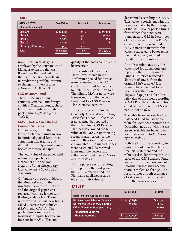### **TABLE E**

| <b>MAV 2 NOTES</b><br>(thousands of dollars) | <b>Face Value</b> | <b>Discount</b> | <b>Fair Value</b> |
|----------------------------------------------|-------------------|-----------------|-------------------|
| Class A1                                     | \$32,862          | 41%             | 19,389<br>\$.     |
| Class A <sub>2</sub>                         | 21,623            | 54              | 9,947             |
| Class B                                      | 3,925             | 91              | 353               |
| Class C                                      | 1,809             | 98              | 36                |
| Class 13 (1A Tracking)                       | 993               | 100             | -                 |
| <b>Total</b>                                 | 61,212            | 51%             | 29,725            |

immunization strategy is employed by the Pensions Fund Manager to ensure that cash flows from the fund will meet the Plan's pension payroll, and to render the portfolio immune to changes in interest rates *(please refer to Table C)*.

### **CSS Balanced Fund**

The CSS Balanced Fund contains Canadian and foreign equities, Canadian bonds, shortterm investments and units in pooled funds *(please refer to Table D)*.

### **MAV 2 Notes/Asset Backed Commercial Paper**

On January 1, 2009, the CSS Pension Plan held units in two institutional pooled fund trusts containing non-trading and illiquid third-party issued assetbacked commercial paper.

The total value of the paper held within these pools as at December 31, 2008 was \$54,257,969 (or \$61,915,449 face value less a \$7,657,480 discount).

On January 21, 2009, subject to the Montreal Accord, the investments were restructured and the original paper was replaced with new longer-term floating –rate notes. These notes were issued via new trusts called Master Asset Vehicles (MAV  $\scriptstyle\rm I$  and MAV  $\scriptstyle\rm 2)$ . The pooled funds managed by Northwater Capital became an investor in MAV 2. The credit

quality of the notes continued to be uncertain.

In December of 2009, the Plan's investments in the Northwater pooled fund trusts were redeemed and its U.S. equity investment transitioned to State Street Global Advisors. The illiquid MAV 2 notes were transferred from the pooled fund trust to a CSS Pension Plan custodial account.

In accordance with Canadian Generally Accepted Accounting Principles ("GAAP"), the MAV 2 notes must be reported at their fair value. CSS Pension Plan has determined the fair value of the MAV 2 notes using recent market prices for the notes to the extent that prices are available. The market prices were based on bids received from multiple dealers and reflect an illiquid market *(please refer to Table E)*.

For the purpose of calculating and reporting the unit price of the CSS Balanced Fund, the Plan has established a value other than fair value as

### **TABLE F**

|                                          | <b>Total Fund</b> | <b>Per Unit</b> |
|------------------------------------------|-------------------|-----------------|
| (Total Fund in thousands of dollars)     |                   |                 |
| <b>Net Assets available for Benefits</b> | 2,246,838         | \$12.19         |
| Unrealized Loss on MAV 2 notes           | 25,240            | 0.14            |
| Other Adjustments as per Note 7          | (1,432)           | (0.01)          |
| <b>Tranactional Value for</b>            |                   |                 |
| <b>Member Accounts</b>                   | 2,270,646         | \$12.32         |
|                                          |                   |                 |

determined according to GAAP. This value is consistent with the value calculated by the manager of the institutional pooled funds from which the notes were transferred to CSS in December of 2009. Given that the Plan's current intention is to hold the MAV 2 notes to maturity, this value is expected to better reflect the final recovery realized on behalf of Plan members.

As at December 31, 2009 the value used for calculating and reporting the CSS Balanced Fund's unit price reflected a discount of 10.2% from the original MAV 2 notes' face value. The value used for unit pricing was therefore \$25,240,639 greater than the fair value of the assets according to GAAP as shown above. This equates to a difference of \$0.14 per unit or 1.136%.

The table below reconciles the Balanced Fund transactional value for Member accounts as at December 31, 2009 with the net assets available for benefits in accordance with GAAP *(please refer to Table F)*.

Both the fair value according to GAAP recorded in the Plans financial statement and the value used to determine the unit price of the CSS Balanced Fund are estimates based on current information that may become more complete or change. As a result, either or both estimates of value may differ materially from the values reported in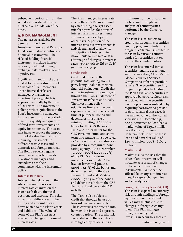subsequent periods or from the actual value realized on any final sale or liquidation of the notes.

### **4. RISK MANAGEMENT**

The net assets available for benefits in the Plan's Investment Funds and Pensions Fund consist almost entirely of financial instruments. The risks of holding financial instruments include interest rate risk, credit risk, foreign exchange risk, market risk and liquidity risk.

Significant financial risks are related to the investments held on behalf of Plan members. These financial risks are managed by having an investment policy, which is approved annually by the Board of Directors. The investment policy provides guidelines to the Plan's investments managers for the asset mix of the portfolio regarding quality and quantity of fixed term investments and equity investments. The asset mix helps to reduce the impact of market value fluctuations by requiring investments in different asset classes and in domestic and foreign markets. The Board reviews regular compliance reports from its investment managers and custodian as to their compliance with the investment policy.

### **Interest Rate Risk**

Interest rate risk refers to the adverse consequences of interest rate changes on the Plan's cash flows, financial position, and income. This risk arises from differences in the timing and amount of cash flows related to the Plan's assets and liabilities. The value of some of the Plan's assets is affected by changes in nominal interest rates.

The Plan manages interest rate risk in the CSS Balanced Fund by establishing a target asset mix that provides for a mix of interest-sensitive investments and investments subject to other risks. A portion of the interest-sensitive investments is actively managed to allow for anticipation of interest rate movements to mitigate or take advantage of changes in interest rates. *(please refer to Tables G, H and I on next page)*.

### **Credit Risk**

Credit risk refers to the potential loss arising from a party being unable to meet its financial obligation. Credit risk within investments is managed through the Plan's Statement of Investment Policies and Goals. The investment policy establishes limits on the credit exposure to security issuers. At time of purchase, bonds and debentures must have a minimum rating of "BBB" or better for the CSS Balanced Fund and "A" or better for the CSS Pensions Fund, and shortterm investments must be rated as "R-1 low" or better (ratings as provided by a recognized bond rating agency). As at December 31, 2009, 100% (2008-100%) of the Plan's short-term investments were rated "R-1 low" or better and 90.40% (2008-93.13%) of the bonds and debentures held in the CSS Balanced Fund and 98.76%  $(2008 - 95.63%)$  of the bonds and debentures held in the CSS Pensions Fund were rated "A" or better.

The Plan is also subject to credit risk through its use of forward currency contracts. These contracts are entered into between the Plan and approved counter parties. The credit risk associated with these contracts is mitigated by establishing a

minimum number of counter parties, and through credit analysis of counterparties performed by the Currency Manager.

The Plan is also subject to credit risk through its securities lending program. Under this program, collateral is pledged to the Plan by various counter parties for securities out on loan to the counter parties.

The Plan has entered into a securities lending agreement with its custodian, CIBC Mellon Global Securities Services Company, to enhance portfolio returns. The securities lending program operates by lending the Plan's available securities to approved borrowers. Credit risk associated with the securities lending program is mitigated by requiring borrowers to provide cash or collateral that exceeds the market value of the loaned securities. At December 31, 2009, securities on loan had a market value of \$194.8 million (2008 - \$151.3 million). Collateral held to secure those loans had a market value of \$203.5 million (2008 - \$162.5 million).

### **Market Risk**

Market risk is the risk that the value of an investment will fluctuate as a result of changes in the value of financial instruments. Value can be affected by changes in interest rates, foreign exchange rates and security prices.

### **Foreign Currency Risk (\$CAD)**

The Plan is exposed to currency risk through holdings of foreign equities where investment values may fluctuate due to changes in foreign exchange rates. The Plan manages foreign currency risk by investing in securities that are

*. . . continued on page 38*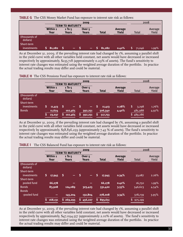**TABLE G** The CSS Money Market Fund has exposure to interest rate risk as follows:

|                           |                  |                          | 2009                              |              |                         |        | 2008             |
|---------------------------|------------------|--------------------------|-----------------------------------|--------------|-------------------------|--------|------------------|
|                           |                  | <b>TERM TO MATURITY</b>  |                                   |              |                         |        |                  |
|                           | Within 1<br>Year | $1$ To 5<br><b>Years</b> | Over <sub>5</sub><br><b>Years</b> | <b>Total</b> | Average<br><b>Yield</b> | Total  | Average<br>Yield |
|                           |                  |                          |                                   |              |                         |        |                  |
| (thousands of<br>dollars) |                  |                          |                                   |              |                         |        |                  |
| Short-term<br>investments | 81,282           | $\overline{\phantom{a}}$ | $\overline{\phantom{a}}$          | 81,282       | 0.42%                   | 71,046 | 1.99%            |

As at December 31, 2009, if the prevailing interest rate had changed by 1%, assuming a parallel shift in the yield curve with all other variables held constant, net assets would have decreased or increased respectively by approximately, \$235,718 (approximately 0.29% of assets). The fund's sensitivity to interest rate changes was estimated using the weighted average duration of the portfolio. In practice the actual trading results may differ and could be material.

|                                         | <b>TERM</b>                            | <b>MATURITY</b><br>TO.                                    | 2009                                                |                                        |                  | 2008                               |                  |
|-----------------------------------------|----------------------------------------|-----------------------------------------------------------|-----------------------------------------------------|----------------------------------------|------------------|------------------------------------|------------------|
|                                         | Within 1<br>Year                       | $1$ To $5$<br><b>Years</b>                                | Over <sub>5</sub><br><b>Years</b>                   | <b>Total</b>                           | Average<br>Yield | Total                              | Average<br>Yield |
| (thousands of<br>dollars)<br>Short-term |                                        |                                                           |                                                     |                                        |                  |                                    |                  |
| investments<br><b>Bonds</b>             | \$<br>11,413<br>11,624<br>\$<br>23,037 | S<br>$\overline{\phantom{0}}$<br>102,465<br>102,465<br>S. | $\overline{\phantom{0}}$<br>392,251<br>S<br>392,251 | S<br>11,413<br>506,340<br>S<br>517,753 | 0.28%<br>4.40%   | S<br>3,298<br>485,988<br>\$489,286 | 1.76%<br>4.97%   |

As at December 31, 2009, if the prevailing interest rate had changed by 1%, assuming a parallel shift in the yield curve with all other variables held constant, net assets would have decreased or increased respectively by approximately, \$38,836,259 (approximately 7.43 % of assets). The fund's sensitivity to interest rate changes was estimated using the weighted average duration of the portfolio. In practice the actual trading results may differ and could be material.

|                           | 2009                     |                            |                                   |               |                  | 2008          |                  |
|---------------------------|--------------------------|----------------------------|-----------------------------------|---------------|------------------|---------------|------------------|
|                           |                          | <b>TERM TO MATURITY</b>    |                                   |               |                  |               |                  |
|                           | Within 1<br>Year         | $1$ To $5$<br><b>Years</b> | Over <sub>5</sub><br><b>Years</b> | <b>Total</b>  | Average<br>Yield | Total         | Average<br>Yield |
| (thousands of<br>dollars) |                          |                            |                                   |               |                  |               |                  |
| Short-term                |                          |                            |                                   |               |                  |               |                  |
| investments               | ls,<br>17,945            | -\$                        | \$.<br>$\overline{\phantom{0}}$   | \$<br>17,945  | 0.34%            | 33,087        | 2.26%            |
| Short-term                |                          |                            |                                   |               |                  |               |                  |
| pooled fund               | 66,278                   |                            |                                   | 66,278        | 0.42%            | 16,750        | $1.99\%$         |
| <b>Bonds</b>              | 83,908                   | 124,089                    | 323,423                           | 531,420       | 3.55%            | 546,623       | 4.54%            |
| <b>Bonds</b>              |                          |                            |                                   |               |                  |               |                  |
| -pooled fund              | $\overline{\phantom{0}}$ | 145,204                    | 132,804                           | 278,008       | 3.34%            | 378,739       | 3.95%            |
|                           | S.<br>168,131            | 5269,293                   | 5456,227                          | S.<br>893,651 |                  | \$<br>975,199 |                  |

| <b>TABLE I</b> The CSS Balanced Fund has exposure to interest rate risk as follows: |  |  |  |  |  |  |  |  |
|-------------------------------------------------------------------------------------|--|--|--|--|--|--|--|--|
|-------------------------------------------------------------------------------------|--|--|--|--|--|--|--|--|

As at December 31, 2009, if the prevailing interest rate had changed by 1%, assuming a parallel shift in the yield curve with all other variables held constant, net assets would have decreased or increased respectively by approximately, \$47,094,557 (approximately 2.10% of assets). The fund's sensitivity to interest rate changes was estimated using the weighted average duration of the portfolio. In practice the actual trading results may differ and could be material.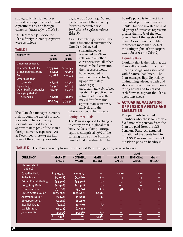strategically distributed over several geographic areas to limit exposure to any one foreign currency *(please refer to Table J)*.

On December 31, 2009, the Plan's foreign currency expsures were as follows:

### **TABLE J**

| <b>CURRENCY</b>                 | 2009      | 2008     |
|---------------------------------|-----------|----------|
|                                 | (SCAD)    | (SCAD)   |
| (thousands of dollars)          |           |          |
| <b>United States dollar</b>     | \$474,202 | \$86,653 |
| <b>British pound sterling</b>   | 69,447    | 35,159   |
| Euro                            | 127,888   | 109,973  |
| <b>Other European</b>           |           |          |
| currencies                      | 46,728    | 48,982   |
| Japanese yen                    | 83,348    | 66,814   |
| <b>Other Pacific currencies</b> | 32,995    | 15,093   |
| <b>Emerging Market</b>          |           |          |
| currencies                      | 34,087    | 31,774   |
|                                 | 868,695   | 394,448  |
|                                 |           |          |

The Plan also manages currency risk through the use of currency forwards. These currency forwards are used to hedge approximately 50% of the Plan's foreign currency exposure. As at December 31, 2009 the fair value of the currency forwards

payable was \$754,144,268 and the fair value of the currency forwards receivable was \$756,482,062 *(please refer to Table K)*.

As at December 31, 2009, if the Fund's functional currency, the Canadian dollar, had

strengthened or weakened by 5% in relation to all other currencies with all other variables held constant, the net assets would have decreased or increased respectively, by approximately \$21,717,375 (approximately 1% of net assets). In practice, the actual trading results may differ from this approximate sensitivity analysis and the

differences could be material.

### **Equity Price Risk**

The Plan is exposed to changes in equity prices in global markets. At December 31, 2009, equities comprised 59% of the carrying value of the Balanced Fund's total investments. The

Board's policy is to invest in a diversified portfolio of investments. No one investee or related group of investees represents greater than 10% of the total book value of the assets of the plan. As well, no one holding represents more than 30% of the voting rights of any corporation *(please refer to Table L)*.

### **Liquidity Risk**

Liquidity risk is the risk that the Plan will encounter difficulty in meeting obligations associated with financial liabilities. The Plan manages liquidity risk by maintaining adequate cash and short-term securities and monitoring actual and forecasted cash flows to support the Plan's operating needs.

### **5. ACTUARIAL VALUATION OF PENSION ASSETS AND LIABILITIES**

The payments to retired members who chose to receive a fixed monthly pension from the Plan are paid from the CSS Pensions Fund. An actuarial valuation of the assets held in the CSS Pensions Fund and of the Plan's pension liability is

**TABLE K** The Plan's currency forward contracts at December 31, 2009 were as follows:

|                               |                               | 2009                            |                       |                               | 2008                            |                       |
|-------------------------------|-------------------------------|---------------------------------|-----------------------|-------------------------------|---------------------------------|-----------------------|
| <b>CURRENCY</b>               | <b>MARKET</b><br><b>VALUE</b> | <b>NOTIONAL</b><br><b>VALUE</b> | <b>GAIN</b><br>(LOSS) | <b>MARKET</b><br><b>VALUE</b> | <b>NOTIONAL</b><br><b>VALUE</b> | <b>GAIN</b><br>(LOSS) |
| (thousands of<br>dollars)     |                               |                                 |                       |                               |                                 |                       |
| Canadian Dollar               | 5429,935                      | 429,935                         |                       | (259)                         | (259)                           |                       |
| <b>Swiss Franc</b>            | (17,968)                      | (17, 966)                       | (2)                   | 13                            | 13                              |                       |
| <b>British Pound Sterling</b> | (34,502)                      | (34,501)                        | $\mathbf{r}$          | 43                            | 43                              |                       |
| Hong Kong Dollar              | (12, 428)                     | (12, 427)                       | $\mathbf{r}$          | 241                           | 240                             | 1                     |
| <b>European Euro</b>          | (63, 788)                     | (63, 786)                       | (2)                   | (38)                          | (37)                            | (1)                   |
| <b>United States Dollar</b>   | (243, 262)                    | (245, 608)                      | 2,346                 |                               |                                 |                       |
| Australian Dollar             | (3,943)                       | (3,945)                         | $\overline{2}$        |                               |                                 |                       |
| <b>Singapore Dollar</b>       | (4, 487)                      | (4, 487)                        |                       |                               |                                 |                       |
| Swedish Krona                 | (2,740)                       | (2,739)                         | $\mathbf{r}$          |                               |                                 |                       |
| Danish Krona                  | (2,528)                       | (2,528)                         | -                     |                               |                                 |                       |
| Japanese Yen                  | (41,951)                      | (41, 948)                       | $\left( 3\right)$     |                               |                                 |                       |
|                               | \$<br>2,338                   |                                 | 2,338                 |                               |                                 |                       |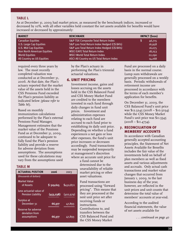### **TABLE L**

As at December 31, 2009 had market prices, as measured by the benchmark indices, increased or decreased by 10%, with all other variables held constant the net assets available for benefits would have increased or decreased by approximately:

| <b>MARKET</b>                      | <b>BENCHMARK</b>                                | <b>IMPACT (\$000)</b> |
|------------------------------------|-------------------------------------------------|-----------------------|
| <b>Canadian Equities</b>           | <b>S&amp;P TSX Composite Total Return Index</b> | \$<br>46,715          |
| <b>U.S. Large Cap Equities</b>     | S&P 500 Total Return Index Hedged (C\$ BA's)    | 16,958                |
| <b>U.S. Mid Cap Equities</b>       | S&P 400 Total Return Index Hedged (C\$ BA's)    | 16,075                |
| <b>Non North American Equities</b> | <b>MSCI EAFE Total Return Index</b>             | 18,253                |
| <b>World Equities</b>              | <b>MSCI World Total Return Index</b>            | 22,290                |
| All Country ex US Equities         | ASCI All Country ex US Total Return Index       | 14,268                |

required every three years by law. The most recently completed valuation was conducted as at December 31, 2006. At that date, the Plan's actuary reported that the market value of the assets held in the CSS Pensions Fund exceeded the Plan's pension liability as indicated below *(please refer to Table M)*.

Based on monthly immunization calculations performed by the Plan's external Pensions Fund Manager, Management estimates that the market value of the Pensions Fund as at December 31, 2009, continued to be adequate to fully fund the Plan's pension liability and provide a reserve for adverse deviation from assumptions. The assumptions used for these calculations may vary from the assumptions used

#### **TABLE M**

| <b>ACTUARIAL POSITION</b>                            | 2006       | 2003       |
|------------------------------------------------------|------------|------------|
| (thousands of dollars)                               |            |            |
| Market Value<br>of Assets                            | \$519,615  | \$450,872  |
| Less actuarial value of<br><b>Pension Liability</b>  | (453, 238) | (402, 979) |
| Surplus at<br>December 31                            | 66,377     | 47,893     |
| Reserve for adverse<br>deviation from<br>assumptions | 66.377     | 47,893     |

by the Plan's actuary in performing the Plan's triennial actuarial valuations.

### **6. UNIT PRICING**

Investment income, gains and losses accruing on the assets held in the CSS Balanced Fund and CSS Money Market Fund are credited to the members invested in each fund through daily changes in fund unit prices. Investment and administration expenses relating to each fund are accrued to each fund prior to establishing its daily unit price. Depending on whether a fund experiences a net gain or loss after expenses, the fund's unit price increases or decreases accordingly. Fund transactions may be suspended temporarily at management's discretion where an accurate unit price for

> a fund cannot be determined due to the unavailability of reliable market pricing or other asset valuations.

Fund transactions are processed using "forward pricing". This means that they are processed at the next unit price set after receiving funds or instructions.

Contributions to, and transfers between the CSS Balanced Fund and the CSS Money Market

Fund are processed on a daily basis in the normal course. Lump sum withdrawals are generally processed on a weekly basis. Periodic withdrawals of retirement income are processed in accordance with the terms of each member's application for benefits.

On December 31, 2009, the CSS Balanced Fund's unit price was \$12.3245 (2008 – \$10.5034) while the CSS Money Market Fund's unit price was \$11.5545  $(2008 - $11.4734).$ 

### **7. RECONCILIATION OF MEMBERS' ACCOUNTS**

In accordance with Canadian generally accepted accounting principles, the Statement of Net Assets Available for Benefits includes the fair value of the investments held on behalf of plan members as well as fixed assets and various adjustments and accruals. Only actual cash transactions and market value changes that occurred from January 1, 2009, to the last business day of the year, however, are reflected in the unit prices and unit counts that determine the total value of members' accounts at year-end.

According to the audited financial statements, the value of net assets available for

*. . . continued on page 40*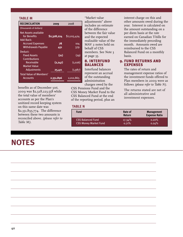### **TABLE M**

| <b>RECONCILIATION</b>              | 2009        | 2008        |
|------------------------------------|-------------|-------------|
| (thousands of dollars)             |             |             |
| Net Assets available               |             |             |
| for Benefits<br>Add Back:          | \$2,328,224 | \$2,015,424 |
| <b>Accrued Expenses</b>            | 78          | 104         |
| <b>Withdrawals Payable</b>         | 451         | 379         |
| Deduct:                            |             |             |
| <b>Fixed Assets</b>                | (21)        | (29)        |
| <b>Contributions</b><br>Receivable | (2, 247)    | (1,026)     |
| Market Value                       |             |             |
| <b>Adjustments</b>                 | 25,411      | (1,987)     |
| Total Value of Members'            |             |             |
| <b>Accounts</b>                    | 2,351,896   | 2,012,865   |

benefits as of December 31st, 2009 was \$2,328,223,558 while the total value of members' accounts as per the Plan's unitized record keeping system on this same date was \$2,351,895,774. The difference between these two amounts is reconciled above. *(please refer to Table M)*.

# **NOTES**

"Market value adjustments" above includes an estimate of the difference between the fair value and the expected realizable value of the MAV 2 notes held on behalf of CSS members. See Note 3 at page 35.

### **8. INTERFUND BALANCES**

Interfund balances represent an accrual of the outstanding administration charges owed by the

CSS Pensions Fund and the CSS Money Market Fund to the CSS Balanced Fund at the end of the reporting period, plus an

### **TABLE N**

| <b>Fund</b>                  | Rate of<br><b>Return</b> | <b>Management</b><br><b>Expense Ratio</b> |
|------------------------------|--------------------------|-------------------------------------------|
| <b>CSS Balanced Fund</b>     | $17.34\%$                | $0.20\%$                                  |
| <b>CSS Money Market Fund</b> | 0.71%                    | 0.24%                                     |

interest charge on this and other amounts owed during the year. Interest is calculated on the amount outstanding on a per diem basis at the rate earned on Canadian T-bills for the immediately preceding month. Amounts owed are reimbursed to the CSS Balanced Fund on a monthly basis.

## **9. FUND RETURNS AND EXPENSES**

The rates of return and management expense ratios of the investment funds offered to Plan members in 2009 were as follows *(please refer to Table N).*

The returns stated are net of all administrative and investment expenses.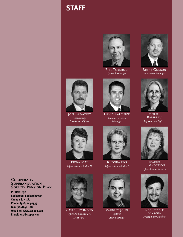# **STAFF**



BILL TURNBULL *General Manager*



JOEL SAWATSKY *Accounting/ Investment Officer*



FIONA MAY *Office Administrator II*



GAYLE RICHMOND *Office Administrator I (Part-time)*

DAVID KAPELUCK *Member Services Manager*



RHONDA ENS *Office Administrator I*



VAUNLEY JOHN *Systems Administrator*



**BRENT GODSON** *Investment Manager*



MURIEL BARIBEAU *Information Officer*



**JOANNE** ANDERSON *Office Administrator I*



ROB PEDDLE *Visual/Web Programmer Analyst*

### **CO-OPERATIVE SUPERANNUATION SOCIETY PENSION PLAN**

**PO Box 1850 Saskatoon, Saskatchewan Canada S7K 3S2 Phone: (306)244-1539 Fax: (306)244-1088 Web Site: www.csspen.com E-mail: css@csspen.com**